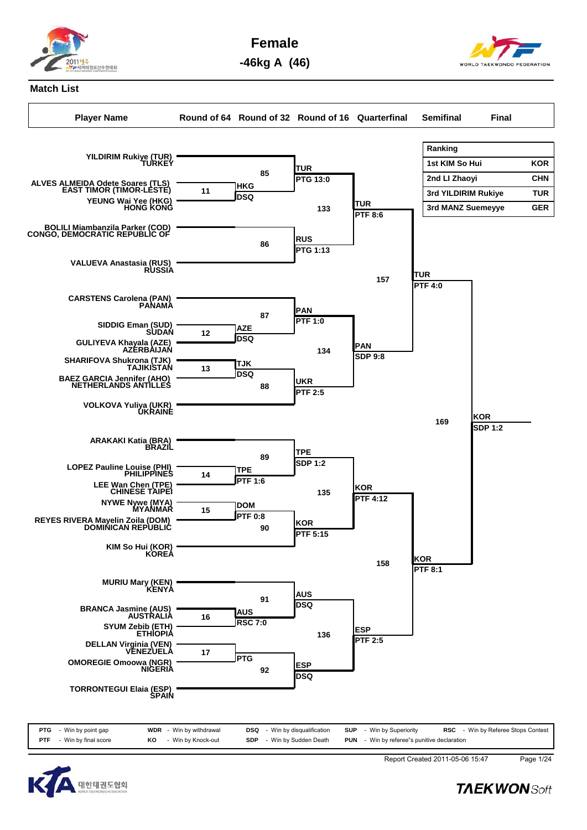

**Female**

**-46kg A (46)**



## **Match List**

**Player Name Round of 64 Round of 32 Round of 16 Quarterfinal Semifinal Final Ranking** 1st KIM So Hui **KOR 2nd LI Zhaoyi CHN 3rd YILDIRIM Rukiye TUR 3rd MANZ Suemeyye GER YILDIRIM Rukiye (TUR) TURKEY ALVES ALMEIDA Odete Soares (TLS) EAST TIMOR (TIMOR-LESTE) YEUNG Wai Yee (HKG) HONG KONG HKG DSQ 11 BOLILI Miambanzila Parker (COD) CONGO, DEMOCRATIC REPUBLIC OF VALUEVA Anastasia (RUS) RUSSIA CARSTENS Carolena (PAN) PANAMA SIDDIG Eman (SUD) SUDAN GULIYEVA Khayala (AZE) AZERBAIJAN AZE DSQ 12 SHARIFOVA Shukrona (TJK) TAJIKISTAN BAEZ GARCIA Jennifer (AHO) NETHERLANDS ANTILLES TJK**  $\begin{array}{ccc} 13 & \text{Dso} \\ \hline \end{array}$ **VOLKOVA Yuliya (UKR) UKRAINE ARAKAKI Katia (BRA) BRAZIL LOPEZ Pauline Louise (PHI) PHILIPPINES LEE Wan Chen (TPE) CHINESE TAIPEI TPE PTF 1:6 14 NYWE Nywe (MYA) MYANMAR REYES RIVERA Mayelin Zoila (DOM) DOMINICAN REPUBLIC DOM PTF 0:8 15 KIM So Hui (KOR) KOREA MURIU Mary (KEN) KENYA BRANCA Jasmine (AUS) AUSTRALIA SYUM Zebib (ETH) ETHIOPIA AUS** 16 **RSC 7:0 DELLAN Virginia (VEN) VENEZUELA OMOREGIE Omoowa (NGR) NIGERIA PTG 17 TORRONTEGUI Elaia (ESP) SPAIN TUR PTG 13:0 85 RUS PTG 1:13 86 PAN PTF 1:0 87 UKR PTF 2:5 88 TPE SDP 1:2 <sup>89</sup> KOR PTF 5:15 90 AUS DSQ <sup>91</sup> ESP DSQ <sup>92</sup> TUR PTF 8:6 133 PAN** 134 **SDP** 9:8 **KOR PTF 4:12 135 ESP PTF 2:5 136 TUR PTF 4:0 157 KOR PTF 8:1 158 KOR** 169 **ISDP** 1:2





Report Created 2011-05-06 15:47 Page 1/24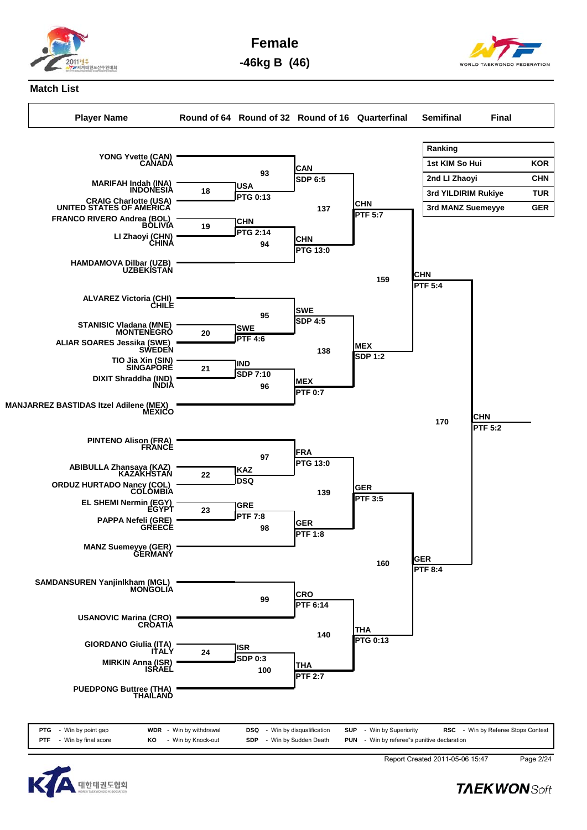

**Female**

**-46kg B (46)**



## **Match List**

**YONG Yvette (CAN) CANADA**

**Player Name Round of 64 Round of 32 Round of 16 Quarterfinal Semifinal Final**

**CAN**

**Ranking** 1st KIM So Hui **KOR 2nd LI Zhaoyi CHN 3rd YILDIRIM Rukiye TUR 3rd MANZ Suemeyye GER**



| <b>PTG</b> - Win by point gap     | <b>WDR</b> - Win by withdrawal | <b>DSQ</b> - Win by disqualification | <b>SUP</b> - Win by Superiority                    | <b>RSC</b> - Win by Referee Stops Contest |
|-----------------------------------|--------------------------------|--------------------------------------|----------------------------------------------------|-------------------------------------------|
| <b>PTF</b> $-$ Win by final score | - Win by Knock-out<br>KO       | - Win by Sudden Death<br><b>SDP</b>  | <b>PUN</b> - Win by referee"s punitive declaration |                                           |



Report Created 2011-05-06 15:47 Page 2/24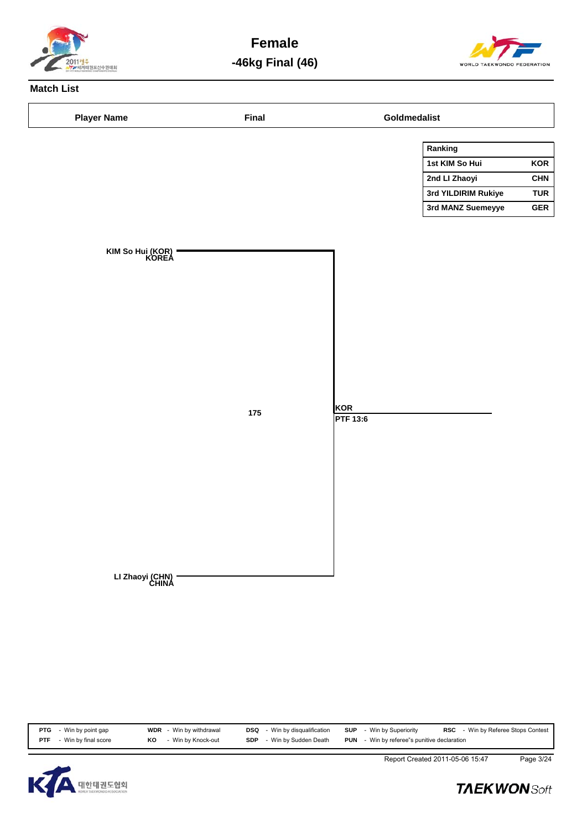

**Female -46kg Final (46)**



# **Match List**

| <b>Player Name</b>        | <b>Final</b> |                        | Goldmedalist        |            |  |  |  |  |
|---------------------------|--------------|------------------------|---------------------|------------|--|--|--|--|
|                           |              |                        | Ranking             |            |  |  |  |  |
|                           |              |                        | 1st KIM So Hui      | KOR        |  |  |  |  |
|                           |              |                        | 2nd Ll Zhaoyi       | <b>CHN</b> |  |  |  |  |
|                           |              |                        | 3rd YILDIRIM Rukiye | <b>TUR</b> |  |  |  |  |
|                           |              |                        | 3rd MANZ Suemeyye   | <b>GER</b> |  |  |  |  |
| KIM So Hui (KOR)<br>KOREA | $175\,$      | KOR<br><b>PTF 13:6</b> |                     |            |  |  |  |  |
| LI Zhaoyi (CHN)<br>CHINA  |              |                        |                     |            |  |  |  |  |

| PTG<br>- Win by point gap          | <b>WDR</b> - Win by withdrawal | DSQ<br>- Win by disqualification    | SUP<br>- Win by Superiority                        | RSC<br>- Win by Referee Stops Contest |
|------------------------------------|--------------------------------|-------------------------------------|----------------------------------------------------|---------------------------------------|
| - Win by final score<br><b>PTF</b> | - Win by Knock-out<br>KO       | - Win by Sudden Death<br><b>SDP</b> | <b>PUN</b> - Win by referee"s punitive declaration |                                       |
|                                    |                                |                                     |                                                    |                                       |



Report Created 2011-05-06 15:47 Page 3/24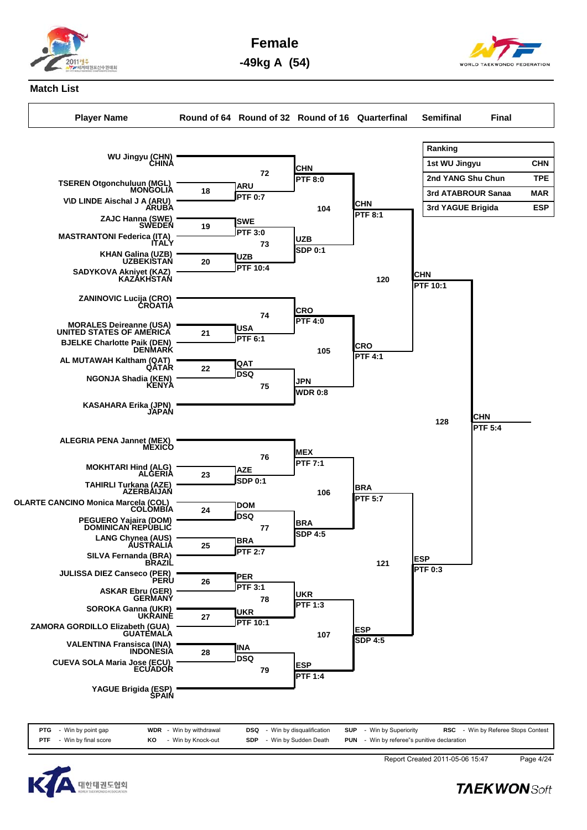

**Female**



**-49kg A (54)**

# **Match List**

**WU Jingyu (CHN) CHINA**

**ZAJC Hanna (SWE) SWEDEN**

**KHAN Galina (UZB) UZBEKISTAN**

**TSEREN Otgonchuluun (MGL) MONGOLIA V\D LINDE Aischal J A (ARU) ARUBA**

**MASTRANTONI Federica (ITA) ITALY**

**SADYKOVA Akniyet (KAZ) KAZAKHSTAN**

**ZANINOVIC Lucija (CRO) CROATIA**

**MORALES Deireanne (USA) UNITED STATES OF AMERICA BJELKE Charlotte Paik (DEN) DENMARK**

**AL MUTAWAH Kaltham (QAT) QATAR**

**NGONJA Shadia (KEN) KENYA**

**KASAHARA Erika (JPN) JAPAN**

**Player Name Round of 64 Round of 32 Round of 16 Quarterfinal Semifinal Final Ranking 1st WU Jingyu CHN 2nd YANG Shu Chun TPE 3rd ATABROUR Sanaa MAR 3rd YAGUE Brigida ESP ARU PTF 0:7 18 SWE PTF 3:0 19 UZB PTF 10:4 20 USA PTF 6:1 21 QAT DSQ 22 AZE CHN PTF 8:0 72 UZB** 73 **SDP** 0:1 **CRO PTF 4:0 74 JPN WDR 0:8 75 MEX PTF 7:1 76 CHN PTF 8:1 104 CRO PTF 4:1 105 CHN PTF 10:1 120 CHN PTF 5:4 128**



| <b>PTG</b> - Win by point gap     |    | <b>WDR</b> - Win by withdrawal | <b>DSQ</b> - Win by disqualification |  | <b>SUP</b> - Win by Superiority                    |  | <b>RSC</b> - Win by Referee Stops Contest |
|-----------------------------------|----|--------------------------------|--------------------------------------|--|----------------------------------------------------|--|-------------------------------------------|
| <b>PTF</b> $-$ Win by final score | KO | - Win by Knock-out             | <b>SDP</b> - Win by Sudden Death     |  | <b>PUN</b> - Win by referee"s punitive declaration |  |                                           |



Report Created 2011-05-06 15:47 Page 4/24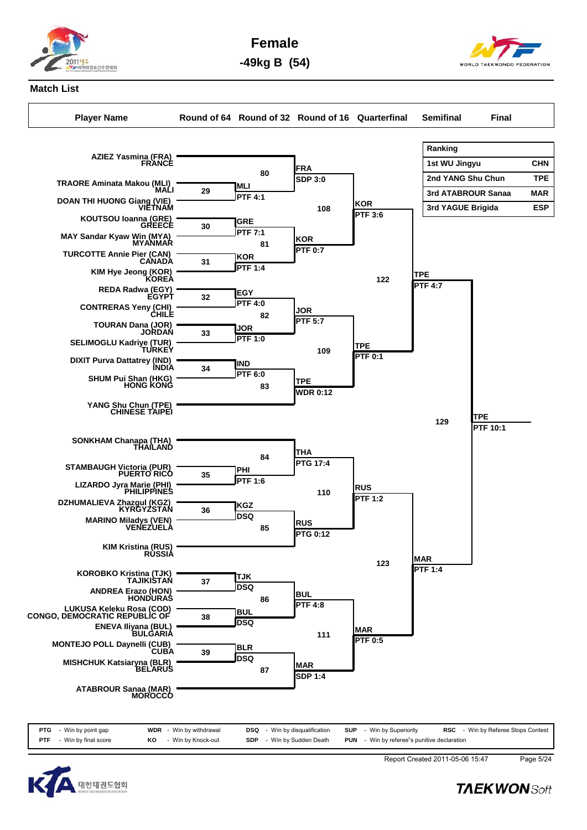

**Female**



**-49kg B (54)**

# **Match List**

**Player Name Round of 64 Round of 32 Round of 16 Quarterfinal Semifinal Final**





Report Created 2011-05-06 15:47 Page 5/24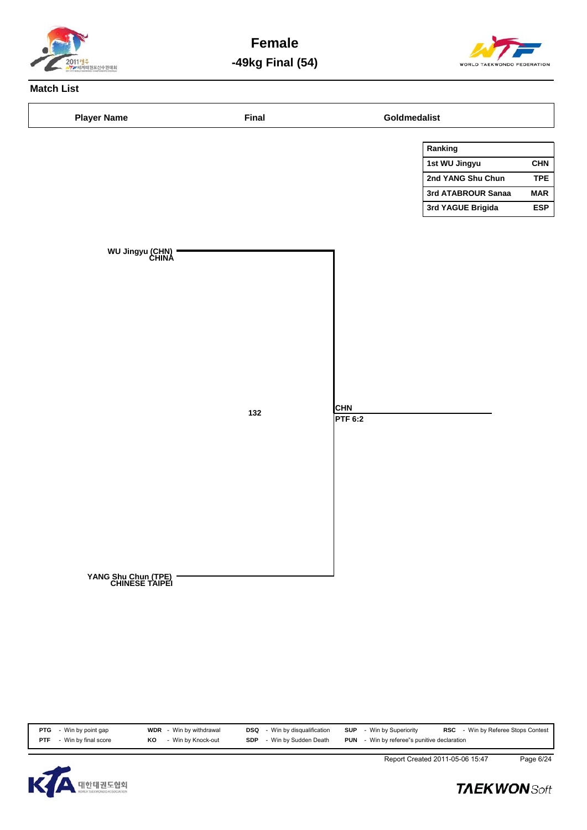

**Female -49kg Final (54)**



## **Match List**



**PTG** - Win by point gap **WDR** - Win by withdrawal **DSQ** - Win by disqualification **SUP** - Win by Superiority **RSC** - Win by Referee Stops Contest<br>**PTF** - Win by final score **KO** - Win by Knock-out **SDP** - Win by Sudden De **RO** - Win by Knock-out **SDP** - Win by Sudden Death **PUN** - Win by referee"s punitive declaration



Report Created 2011-05-06 15:47 Page 6/24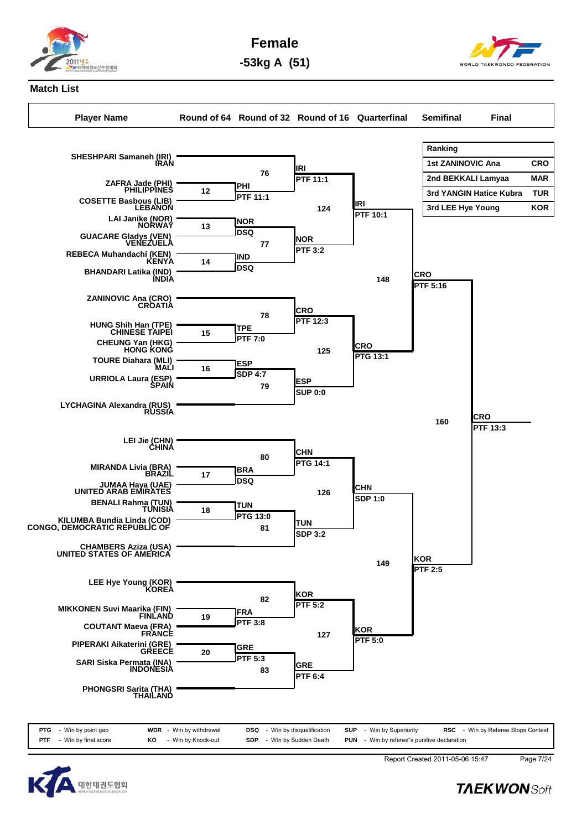

**Female**

**-53kg A (51)**



# **Match List**

**Player Name Round of 64 Round of 32 Round of 16 Quarterfinal Semifinal Final**





Report Created 2011-05-06 15:47 Page 7/24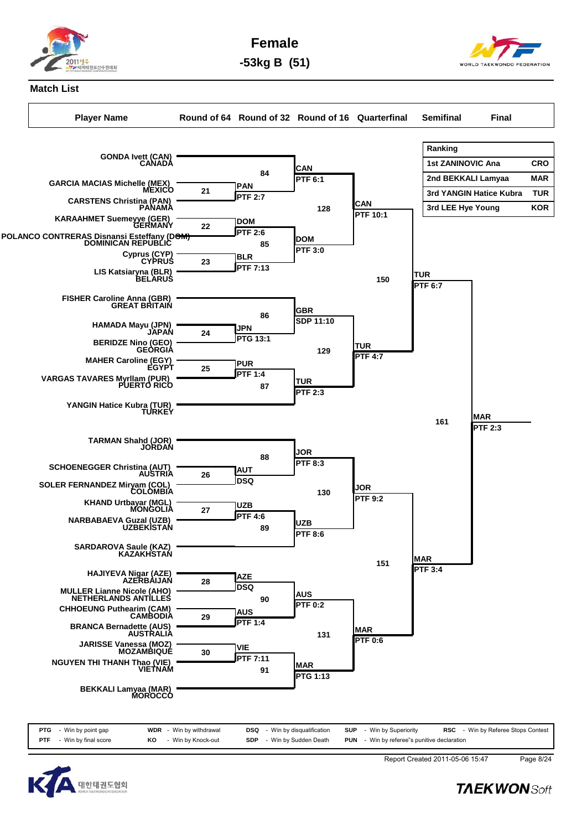

**Female -53kg B (51)**

**Match List**

**Player Name Round of 64 Round of 32 Round of 16 Quarterfinal Semifinal Final**



| <b>PTG</b> | - Win by point gap   |    | <b>WDR</b> - Win by withdrawal | DSQ        | - Win by disqualification | <b>SUP</b> - Win by Superiority                    | <b>RSC</b> - Win by Referee Stops Contes |
|------------|----------------------|----|--------------------------------|------------|---------------------------|----------------------------------------------------|------------------------------------------|
| PTF        | - Win by final score | КO | - Win by Knock-out             | <b>SDP</b> | - Win by Sudden Death     | <b>PUN</b> - Win by referee"s punitive declaration |                                          |



Report Created 2011-05-06 15:47 Page 8/24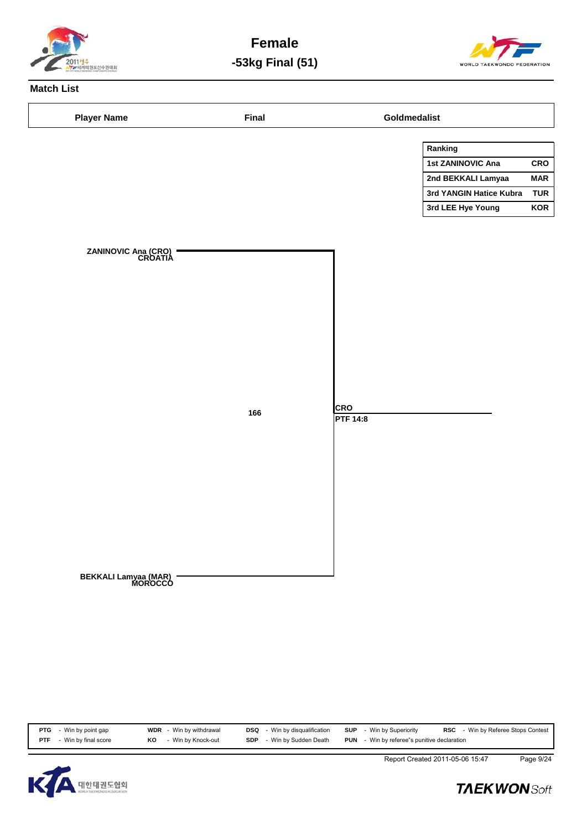

**Female -53kg Final (51)**



## **Match List**

| <b>Player Name</b>              | <b>Final</b> |                 | Goldmedalist            |            |
|---------------------------------|--------------|-----------------|-------------------------|------------|
|                                 |              |                 | Ranking                 |            |
|                                 |              |                 | 1st ZANINOVIC Ana       | CRO        |
|                                 |              |                 | 2nd BEKKALI Lamyaa      | <b>MAR</b> |
|                                 |              |                 | 3rd YANGIN Hatice Kubra | <b>TUR</b> |
|                                 |              |                 | 3rd LEE Hye Young       | <b>KOR</b> |
|                                 |              |                 |                         |            |
|                                 |              |                 |                         |            |
| ZANINOVIC Ana (CRO)<br>CROATIA  |              |                 |                         |            |
|                                 |              |                 |                         |            |
|                                 |              |                 |                         |            |
|                                 |              |                 |                         |            |
|                                 |              |                 |                         |            |
|                                 |              |                 |                         |            |
|                                 |              |                 |                         |            |
|                                 |              |                 |                         |            |
|                                 |              |                 |                         |            |
|                                 |              |                 |                         |            |
|                                 |              |                 |                         |            |
|                                 |              | <b>CRO</b>      |                         |            |
|                                 | 166          | <b>PTF 14:8</b> |                         |            |
|                                 |              |                 |                         |            |
|                                 |              |                 |                         |            |
|                                 |              |                 |                         |            |
|                                 |              |                 |                         |            |
|                                 |              |                 |                         |            |
|                                 |              |                 |                         |            |
|                                 |              |                 |                         |            |
|                                 |              |                 |                         |            |
|                                 |              |                 |                         |            |
|                                 |              |                 |                         |            |
|                                 |              |                 |                         |            |
| BEKKALI Lamyaa (MAR)<br>MOROCCO |              |                 |                         |            |
|                                 |              |                 |                         |            |
|                                 |              |                 |                         |            |
|                                 |              |                 |                         |            |
|                                 |              |                 |                         |            |

**PTG** - Win by point gap **WDR** - Win by withdrawal **DSQ** - Win by disqualification **SUP** - Win by Superiority **RSC** - Win by Referee Stops Contest<br>**PTF** - Win by final score **KO** - Win by Knock-out **SDP** - Win by Sudden De **PUN** - Win by referee"s punitive declaration



Report Created 2011-05-06 15:47 Page 9/24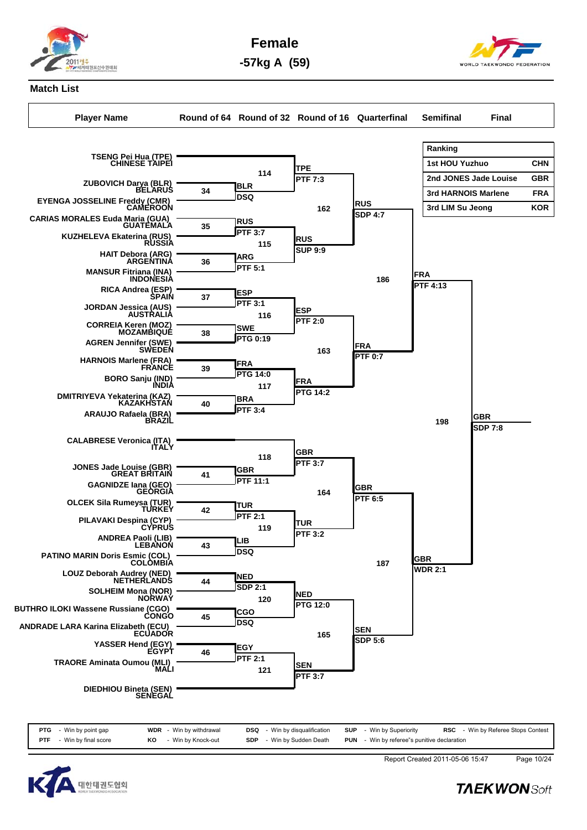

**Female**

**-57kg A (59)**



## **Match List**

**TSENG Pei Hua (TPE) CHINESE TAIPEI**

**Player Name Round of 64 Round of 32 Round of 16 Quarterfinal Semifinal Final**

**Ranking 1st HOU Yuzhuo CHN**



**PTF** - Win by final score **KO** - Win by Knock-out **SDP** - Win by Sudden Death **PUN** - Win by referee"s punitive declaration



Report Created 2011-05-06 15:47 Page 10/24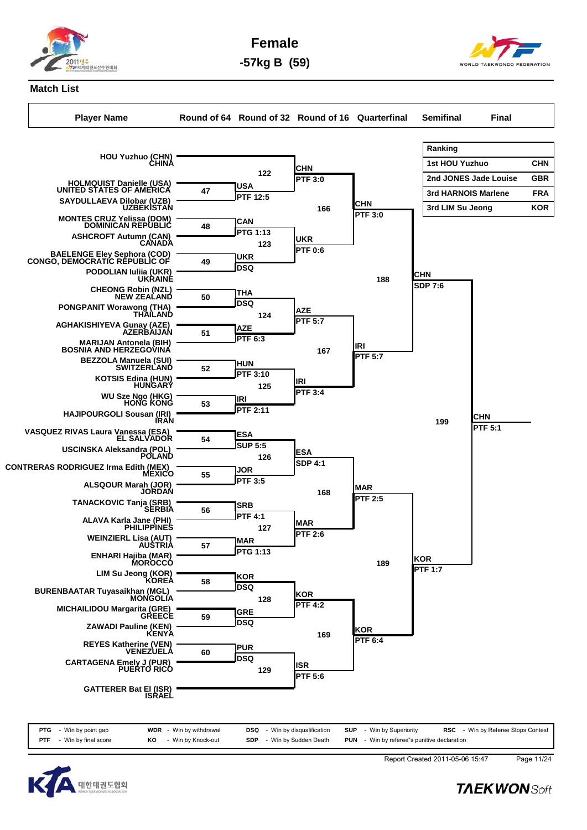

**Female -57kg B (59)**

## **Match List**

**Player Name Round of 64 Round of 32 Round of 16 Quarterfinal Semifinal Final**



**PTG** - Win by point gap **WDR** - Win by withdrawal **DSQ** - Win by disqualification **SUP** - Win by Superiority **RSC** - Win by Referee Stops Contest **PTF** - Win by final score **KO** - Win by Knock-out **SDP** - Win by Sudden Death **PUN** - Win by referee"s punitive declaration



Report Created 2011-05-06 15:47 Page 11/24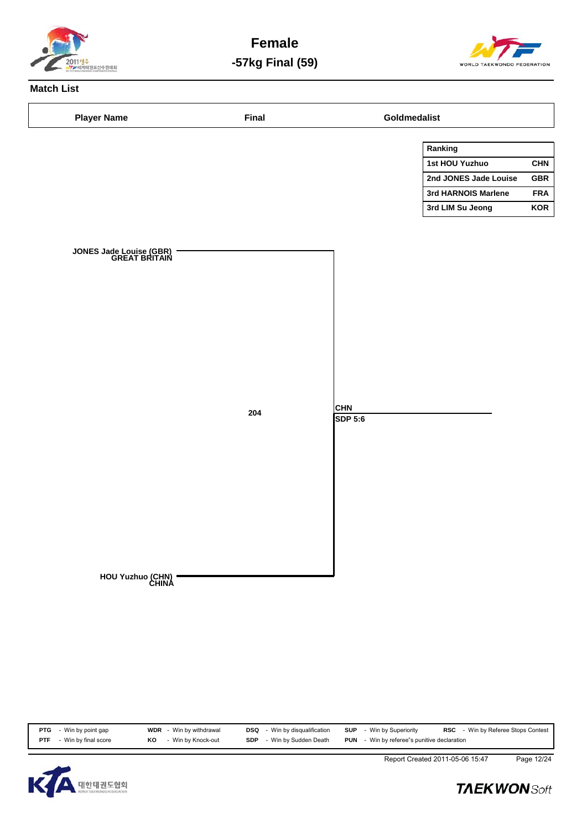

**Female -57kg Final (59)**



# **Match List**

| <b>Player Name</b>                       | <b>Final</b> |                       | Goldmedalist          |            |
|------------------------------------------|--------------|-----------------------|-----------------------|------------|
|                                          |              |                       | Ranking               |            |
|                                          |              |                       | 1st HOU Yuzhuo        | <b>CHN</b> |
|                                          |              |                       | 2nd JONES Jade Louise | GBR        |
|                                          |              |                       | 3rd HARNOIS Marlene   | <b>FRA</b> |
|                                          |              |                       | 3rd LIM Su Jeong      | <b>KOR</b> |
|                                          |              |                       |                       |            |
|                                          |              |                       |                       |            |
| JONES Jade Louise (GBR)<br>GREAT BRITAIN |              |                       |                       |            |
|                                          |              |                       |                       |            |
|                                          |              |                       |                       |            |
|                                          |              |                       |                       |            |
|                                          |              |                       |                       |            |
|                                          |              |                       |                       |            |
|                                          |              |                       |                       |            |
|                                          |              |                       |                       |            |
|                                          |              |                       |                       |            |
|                                          |              |                       |                       |            |
|                                          |              |                       |                       |            |
|                                          | 204          | <b>CHN</b><br>SDP 5:6 |                       |            |
|                                          |              |                       |                       |            |
|                                          |              |                       |                       |            |
|                                          |              |                       |                       |            |
|                                          |              |                       |                       |            |
|                                          |              |                       |                       |            |
|                                          |              |                       |                       |            |
|                                          |              |                       |                       |            |
|                                          |              |                       |                       |            |
|                                          |              |                       |                       |            |
|                                          |              |                       |                       |            |
| HOU Yuzhuo (CHN)<br>CHINA                |              |                       |                       |            |
|                                          |              |                       |                       |            |
|                                          |              |                       |                       |            |
|                                          |              |                       |                       |            |
|                                          |              |                       |                       |            |

| - Win by Knock-out<br><b>PUN</b> - Win by referee"s punitive declaration<br>Win by Sudden Death<br>- Win by final score<br><b>PTF</b><br><b>SDP</b><br>KO | <b>PTG</b> - Win by point gap | WDR<br>- Win by withdrawal | Win by disqualification<br>DSQ | - Win by Superiority<br>SUP | <b>RSC</b> - Win by Referee Stops Contest |
|-----------------------------------------------------------------------------------------------------------------------------------------------------------|-------------------------------|----------------------------|--------------------------------|-----------------------------|-------------------------------------------|
|                                                                                                                                                           |                               |                            |                                |                             |                                           |



Report Created 2011-05-06 15:47 Page 12/24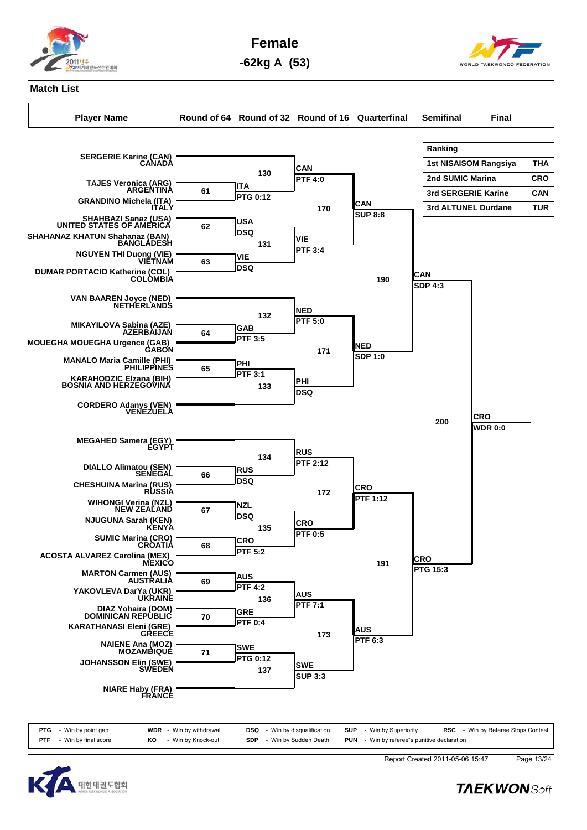

**Female**

**-62kg A (53)**



## **Match List**

**Player Name Round of 64 Round of 32 Round of 16 Quarterfinal Semifinal Final**

**Ranking 1st NISAISOM Rangsiya THA 2nd SUMIC Marina CRO 3rd SERGERIE Karine CAN 3rd ALTUNEL Durdane TUR SERGERIE Karine (CAN) CANADA TAJES Veronica (ARG) ARGENTINA GRANDINO Michela (ITA) ITALY ITA PTG 0:12 61 SHAHBAZI Sanaz (USA) UNITED STATES OF AMERICA SHAHANAZ KHATUN Shahanaz (BAN) BANGLADESH USA DSQ <sup>62</sup> NGUYEN THI Duong (VIE) VIETNAM DUMAR PORTACIO Katherine (COL) COLOMBIA VIE DSQ <sup>63</sup> VAN BAAREN Joyce (NED) NETHERLANDS MIKAYILOVA Sabina (AZE) AZERBAIJAN MOUEGHA MOUEGHA Urgence (GAB) GABON GAB PTF 3:5 64 MANALO Maria Camille (PHI) PHILIPPINES KARAHODZIC Elzana (BIH) BOSNIA AND HERZEGOVINA PHI PTF 3:1 65 CORDERO Adanys (VEN) VENEZUELA MEGAHED Samera (EGY) EGYPT DIALLO Alimatou (SEN) SENEGAL CHESHUINA Marina (RUS) RUSSIA RUS DSQ <sup>66</sup> WIHONGI Verina (NZL) NEW ZEALAND NJUGUNA Sarah (KEN) KENYA NZL DSQ <sup>67</sup> SUMIC Marina (CRO) CROATIA ACOSTA ALVAREZ Carolina (MEX) MEXICO CRO PTF 5:2 68 MARTON Carmen (AUS) AUSTRALIA YAKOVLEVA DarYa (UKR) UKRAINE AUS PTF 4:2 69 DIAZ Yohaira (DOM) DOMINICAN REPUBLIC KARATHANASI Eleni (GRE) GREECE GRE PTF 0:4 70 NAIENE Ana (MOZ) MOZAMBIQUE JOHANSSON Elin (SWE) SWEDEN SWE PTG 0:12 71 CAN PTF 4:0 130 VIE PTF 3:4 131 NED PTF 5:0 132 PHI DSQ <sup>133</sup> RUS PTF 2:12 134 CRO PTF 0:5 135 AUS PTF 7:1 136 SWE** 137 **1388**<br>**ISUP 3:3 CAN** 170 **I**CAN<br>SUP 8:8 **NED SDP 1:0 171 CRO PTF 1:12 172 AUS PTF 6:3 173 CAN** 190 **I**CAN<br>**SDP** 4:3 **CRO PTG 15:3 191 CRO WDR 0:0 200**

**NIARE Haby (FRA) FRANCE**

| <b>PTG</b> - Win by point gap     |    | <b>WDR</b> - Win by withdrawal | <b>DSQ</b> - Win by disqualification | <b>SUP</b> - Win by Superiority                    | <b>RSC</b> - Win by Referee Stops Contes |
|-----------------------------------|----|--------------------------------|--------------------------------------|----------------------------------------------------|------------------------------------------|
| <b>PTF</b> $-$ Win by final score | KO | - Win by Knock-out             | <b>SDP</b> - Win by Sudden Death     | <b>PUN</b> - Win by referee"s punitive declaration |                                          |



Report Created 2011-05-06 15:47 Page 13/24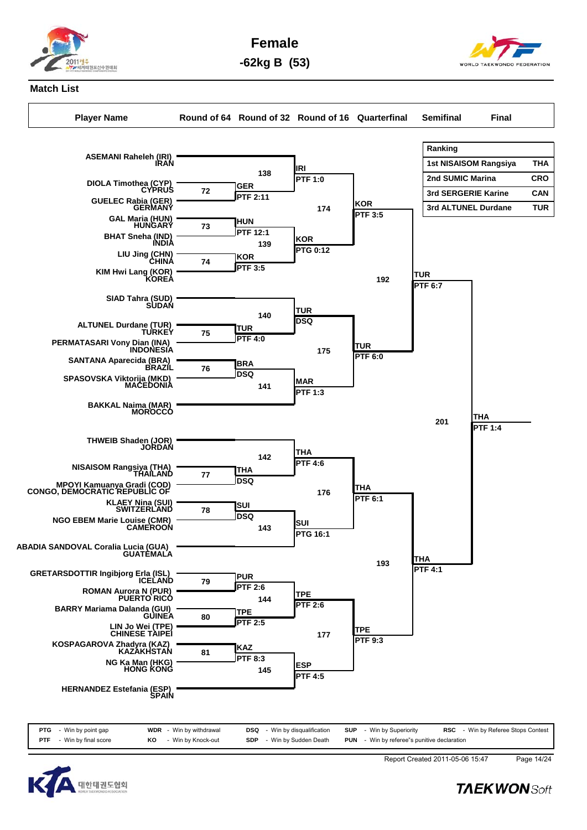

**Female -62kg B (53)**



## **Match List**

**Player Name Round of 64 Round of 32 Round of 16 Quarterfinal Semifinal Final Ranking 1st NISAISOM Rangsiya THA 2nd SUMIC Marina CRO 3rd SERGERIE Karine CAN 3rd ALTUNEL Durdane TUR ASEMANI Raheleh (IRI) IRAN DIOLA Timothea (CYP) CYPRUS GUELEC Rabia (GER) GERMANY GER PTF 2:11 72 GAL Maria (HUN) HUNGARY BHAT Sneha (IND) INDIA HUN PTF 12:1 73 LIU Jing (CHN) CHINA KIM Hwi Lang (KOR) KOREA KOR PTF 3:5 74 SIAD Tahra (SUD) SUDAN ALTUNEL Durdane (TUR) TURKEY PERMATASARI Vony Dian (INA) INDONESIA TUR PTF 4:0 75 SANTANA Aparecida (BRA) BRAZIL SPASOVSKA Viktorija (MKD) MACEDONIA BRA DSQ <sup>76</sup> BAKKAL Naima (MAR) MOROCCO THWEIB Shaden (JOR) JORDAN NISAISOM Rangsiya (THA) THAILAND MPOYI Kamuanya Gradi (COD) CONGO, DEMOCRATIC REPUBLIC OF THA DSQ 77 KLAEY Nina (SUI) SWITZERLAND NGO EBEM Marie Louise (CMR) CAMEROON SUI DSQ <sup>78</sup> ABADIA SANDOVAL Coralia Lucia (GUA) GUATEMALA GRETARSDOTTIR Ingibjorg Erla (ISL) ICELAND ROMAN Aurora N (PUR) PUERTO RICO PUR PTF 2:6 79 BARRY Mariama Dalanda (GUI) GUINEA LIN Jo Wei (TPE) CHINESE TAIPEI TPE PTF 2:5 80 KOSPAGAROVA Zhadyra (KAZ) KAZAKHSTAN IRI PTF 1:0 138 KOR PTG 0:12 139 TUR DSQ <sup>140</sup> MAR PTF 1:3 141 THA PTF 4:6 142 SUI PTG 16:1 143 TPE PTF 2:6 144 KOR PTF 3:5 174 TUR PTF 6:0 175 THA PTF 6:1 176 TPE PTF 9:3 177 TUR PTF 6:7 192 THA PTF 4:1 193 THA PTF 1:4 201**

**HERNANDEZ Estefania (ESP) SPAIN**

**NG Ka Man (HKG) HONG KONG**

| <b>PTG</b> - Win by point gap   | <b>WDR</b> - Win by withdrawal | <b>DSQ</b> - Win by disqualification |  | <b>SUP</b> - Win by Superiority                    |  | <b>RSC</b> - Win by Referee Stops Contest |
|---------------------------------|--------------------------------|--------------------------------------|--|----------------------------------------------------|--|-------------------------------------------|
| <b>PTF</b> - Win by final score | <b>KO</b> - Win by Knock-out   | <b>SDP</b> - Win by Sudden Death     |  | <b>PUN</b> - Win by referee"s punitive declaration |  |                                           |

**ESP PTF 4:5**

**KAZ PTF 8:3**

**145**

**81**



Report Created 2011-05-06 15:47 Page 14/24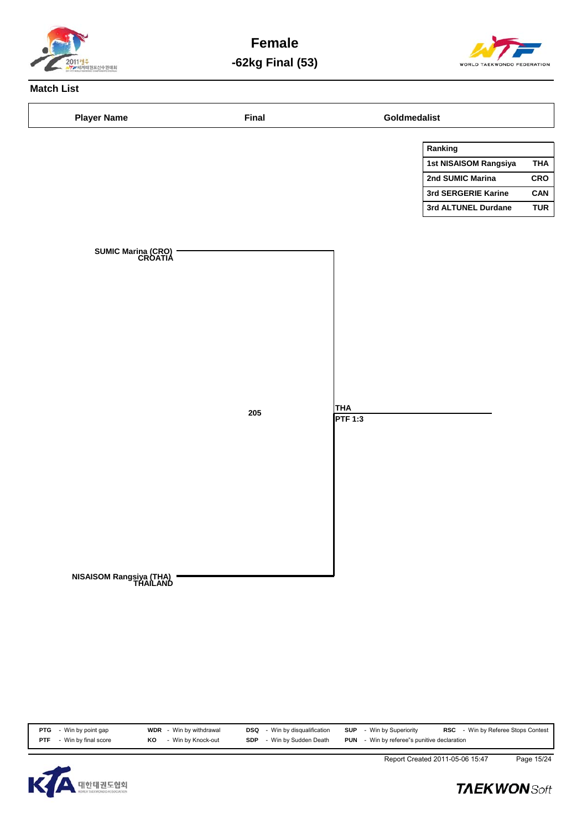

**Female -62kg Final (53)**



# **Match List**

| <b>Player Name</b>                   | <b>Final</b> |                | Goldmedalist          |            |
|--------------------------------------|--------------|----------------|-----------------------|------------|
|                                      |              |                | Ranking               |            |
|                                      |              |                | 1st NISAISOM Rangsiya | <b>THA</b> |
|                                      |              |                | 2nd SUMIC Marina      | CRO        |
|                                      |              |                | 3rd SERGERIE Karine   | CAN        |
|                                      |              |                | 3rd ALTUNEL Durdane   | <b>TUR</b> |
|                                      |              |                |                       |            |
|                                      |              |                |                       |            |
| <b>SUMIC Marina (CRO)</b><br>CROATIA |              |                |                       |            |
|                                      |              |                |                       |            |
|                                      |              |                |                       |            |
|                                      |              |                |                       |            |
|                                      |              |                |                       |            |
|                                      |              |                |                       |            |
|                                      |              |                |                       |            |
|                                      |              |                |                       |            |
|                                      |              |                |                       |            |
|                                      |              |                |                       |            |
|                                      |              | <b>THA</b>     |                       |            |
|                                      | ${\bf 205}$  | <b>PTF 1:3</b> |                       |            |
|                                      |              |                |                       |            |
|                                      |              |                |                       |            |
|                                      |              |                |                       |            |
|                                      |              |                |                       |            |
|                                      |              |                |                       |            |
|                                      |              |                |                       |            |
|                                      |              |                |                       |            |
|                                      |              |                |                       |            |
|                                      |              |                |                       |            |
|                                      |              |                |                       |            |
| NISAISOM Rangsiya (THA)<br>THAILAND  |              |                |                       |            |
|                                      |              |                |                       |            |
|                                      |              |                |                       |            |
|                                      |              |                |                       |            |
|                                      |              |                |                       |            |
|                                      |              |                |                       |            |

| <b>PTG</b> - Win by point gap   |    | <b>WDR</b> - Win by withdrawal | <b>DSQ</b> - Win by disqualification | <b>SUP</b> - Win by Superiority                    | <b>RSC</b> - Win by Referee Stops Contest |
|---------------------------------|----|--------------------------------|--------------------------------------|----------------------------------------------------|-------------------------------------------|
| <b>PTF</b> - Win by final score | KO | - Win by Knock-out             | <b>SDP</b> - Win by Sudden Death     | <b>PUN</b> - Win by referee"s punitive declaration |                                           |



Report Created 2011-05-06 15:47 Page 15/24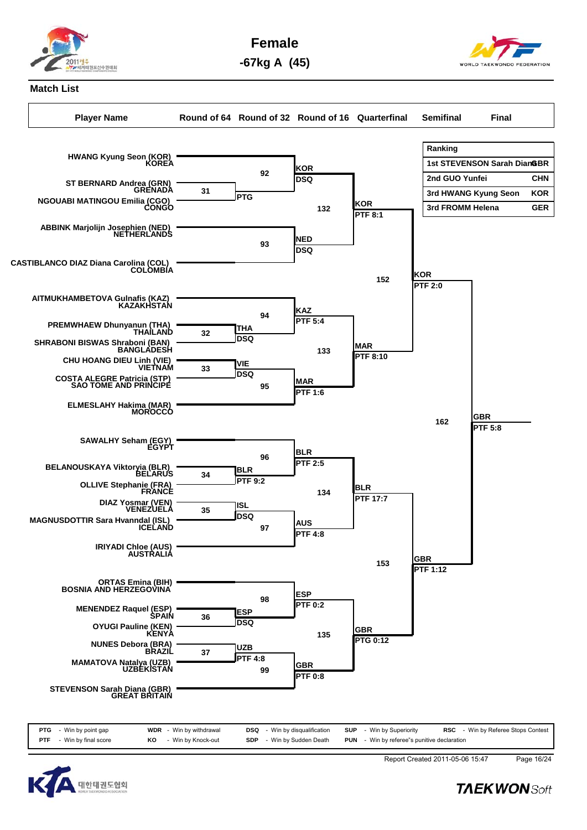

**Female**

**-67kg A (45)**



#### **Match List**

**Player Name Round of 64 Round of 32 Round of 16 Quarterfinal Semifinal Final Ranking 1st STEVENSON Sarah Dian&BR 2nd GUO Yunfei CHN 3rd HWANG Kyung Seon KOR 3rd FROMM Helena GER HWANG Kyung Seon (KOR) KOREA ST BERNARD Andrea (GRN) GRENADA NGOUABI MATINGOU Emilia (CGO) CONGO PTG 31 ABBINK Marjolijn Josephien (NED) NETHERLANDS CASTIBLANCO DIAZ Diana Carolina (COL) COLOMBIA AITMUKHAMBETOVA Gulnafis (KAZ) KAZAKHSTAN PREMWHAEW Dhunyanun (THA) THAILAND SHRABONI BISWAS Shraboni (BAN) BANGLADESH THA DSQ <sup>32</sup> CHU HOANG DIEU Linh (VIE) VIETNAM COSTA ALEGRE Patricia (STP) SAO TOME AND PRINCIPE VIE DSQ <sup>33</sup> ELMESLAHY Hakima (MAR) MOROCCO BLR PTF 9:2 34 KOR DSQ <sup>92</sup> NED DSQ <sup>93</sup> KAZ PTF 5:4 94 MAR PTF 1:6 95 BLR PTF 2:5 96 KOR PTF 8:1 132 MAR PTF 8:10 133 BLR PTF 17:7 134 KOR PTF 2:0 152 GBR PTF 5:8 162**



| <b>PTG</b> | - Win by point gap   |    | <b>WDR</b> - Win by withdrawal | DSQ        | - Win by disqualification | <b>SUP</b> | - Win by Superiority                    | RSC | - Win by Referee Stops Contest |
|------------|----------------------|----|--------------------------------|------------|---------------------------|------------|-----------------------------------------|-----|--------------------------------|
| <b>PTF</b> | - Win by final score | ΚO | - Win by Knock-out             | <b>SDP</b> | - Win by Sudden Death     | <b>PUN</b> | - Win by referee"s punitive declaration |     |                                |



Report Created 2011-05-06 15:47 Page 16/24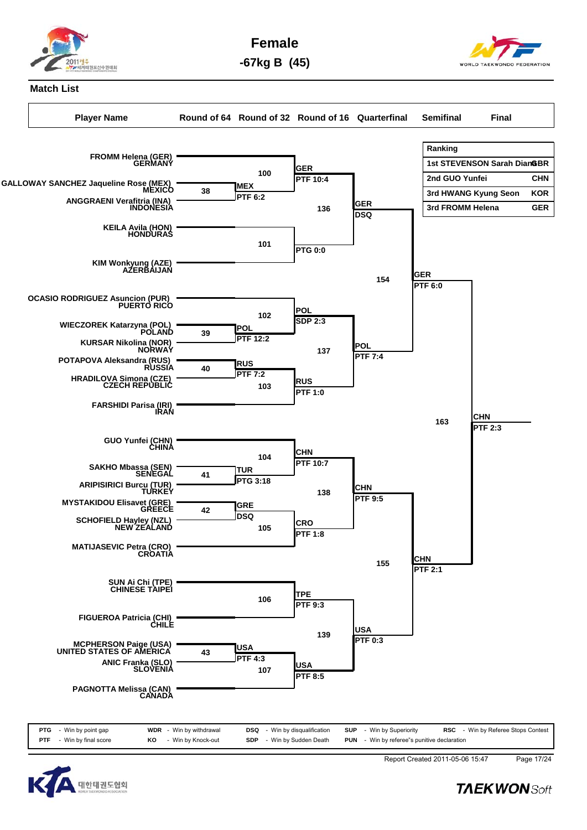

**Female -67kg B (45)**

#### **Match List**

**Player Name Round of 64 Round of 32 Round of 16 Quarterfinal Semifinal Final Ranking 1st STEVENSON Sarah Dian&BR 2nd GUO Yunfei CHN 3rd HWANG Kyung Seon KOR 3rd FROMM Helena GER FROMM Helena (GER) GERMANY GALLOWAY SANCHEZ Jaqueline Rose (MEX) MEXICO ANGGRAENI Verafitria (INA) INDONESIA MEX PTF 6:2 38 KEILA Avila (HON) HONDURAS KIM Wonkyung (AZE) AZERBAIJAN OCASIO RODRIGUEZ Asuncion (PUR) PUERTO RICO WIECZOREK Katarzyna (POL) POLAND KURSAR Nikolina (NOR) NORWAY POL PTF 12:2 39 POTAPOVA Aleksandra (RUS) RUSSIA HRADILOVA Simona (CZE) CZECH REPUBLIC RUS PTF 7:2 40 FARSHIDI Parisa (IRI) IRAN GUO Yunfei (CHN) CHINA SAKHO Mbassa (SEN) SENEGAL ARIPISIRICI Burcu (TUR) TURKEY TUR PTG 3:18 41 MYSTAKIDOU Elisavet (GRE) GREECE SCHOFIELD Hayley (NZL) NEW ZEALAND GRE DSQ 42 MATIJASEVIC Petra (CRO) CROATIA SUN Ai Chi (TPE) CHINESE TAIPEI GER PTF 10:4 100 PTG 0:0 101 POL** 102 **I**SDP 2:3 **RUS PTF 1:0 103 CHN PTF 10:7 104 CRO PTF 1:8 105 GER DSQ <sup>136</sup> POL PTF 7:4 137 CHN PTF 9:5 138 GER PTF 6:0 154 CHN PTF 2:1 155 CHN PTF 2:3 163**

**FIGUEROA Patricia (CHI) CHILE MCPHERSON Paige (USA) UNITED STATES OF AMERICA ANIC Franka (SLO) SLOVENIA USA PTF 4:3 43 PAGNOTTA Melissa (CAN) CANADA TPE PTF 9:3 106 USA PTF 8:5 107 USA PTF 0:3 139**

| <b>PTG</b> - Win by point gap   | <b>WDR</b> - Win by withdrawal | <b>DSQ</b> - Win by disqualification | <b>SUP</b> - Win by Superiority<br><b>RSC</b> - Win by Referee Stops Contest |
|---------------------------------|--------------------------------|--------------------------------------|------------------------------------------------------------------------------|
| <b>PTF</b> - Win by final score | <b>KO</b> - Win by Knock-out   | <b>SDP</b> - Win by Sudden Death     | <b>PUN</b> - Win by referee"s punitive declaration                           |



Report Created 2011-05-06 15:47 Page 17/24

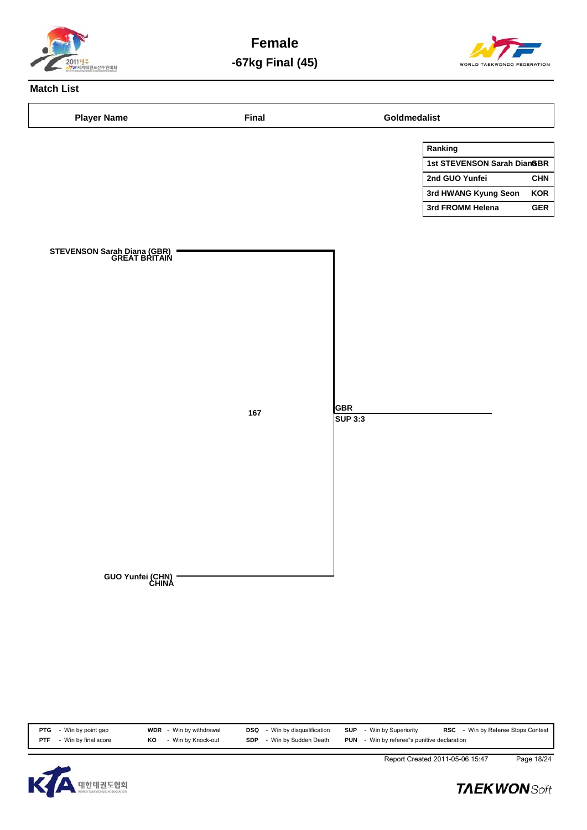

**Female -67kg Final (45)**



# **Match List**

| <b>Player Name</b>                           | Final |                       | Goldmedalist                |            |
|----------------------------------------------|-------|-----------------------|-----------------------------|------------|
|                                              |       |                       | Ranking                     |            |
|                                              |       |                       | 1st STEVENSON Sarah Dian&BR |            |
|                                              |       |                       | 2nd GUO Yunfei              | <b>CHN</b> |
|                                              |       |                       | 3rd HWANG Kyung Seon        | <b>KOR</b> |
|                                              |       |                       | 3rd FROMM Helena            | <b>GER</b> |
| STEVENSON Sarah Diana (GBR)<br>GREAT BRITAIN |       |                       |                             |            |
|                                              | 167   | <b>GBR</b><br>SUP 3:3 |                             |            |
| GUO Yunfei (CHN)<br>CHINA                    |       |                       |                             |            |

| <b>PTG</b> - Win by point gap      | <b>WDR</b> - Win by withdrawal | <b>DSQ</b> - Win by disqualification | <b>SUP</b> - Win by Superiority                    | <b>RSC</b> - Win by Referee Stops Contest |
|------------------------------------|--------------------------------|--------------------------------------|----------------------------------------------------|-------------------------------------------|
| - Win by final score<br><b>PTF</b> | - Win by Knock-out<br>KO       | <b>SDP</b> - Win by Sudden Death     | <b>PUN</b> - Win by referee"s punitive declaration |                                           |



Report Created 2011-05-06 15:47 Page 18/24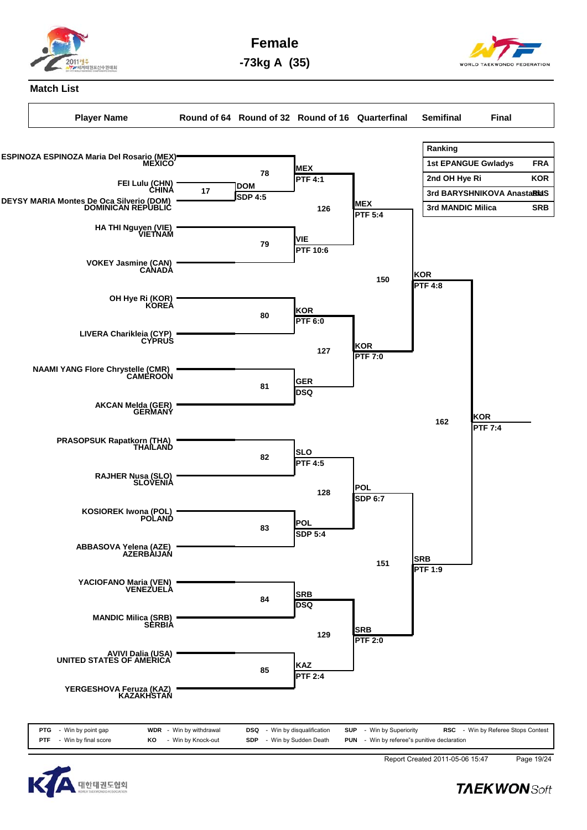

**Female -73kg A (35)**

#### **Match List**



**MANDIC Milica (SRB) SERBIA AVIVI Dalia (USA) UNITED STATES OF AMERICA YERGESHOVA Feruza (KAZ) KAZAKHSTAN KAZ PTF 2:4 85 SRB PTF 2:0 129**

| <b>PTG</b> - Win by point gap   | <b>WDR</b> - Win by withdrawal | <b>DSQ</b> - Win by disqualification | <b>SUP</b> - Win by Superiority                    | <b>RSC</b> - Win by Referee Stops Contest |
|---------------------------------|--------------------------------|--------------------------------------|----------------------------------------------------|-------------------------------------------|
| <b>PTF</b> - Win by final score | KO - Win by Knock-out          | <b>SDP</b> - Win by Sudden Death     | <b>PUN</b> - Win by referee"s punitive declaration |                                           |
|                                 |                                |                                      |                                                    |                                           |



Report Created 2011-05-06 15:47 Page 19/24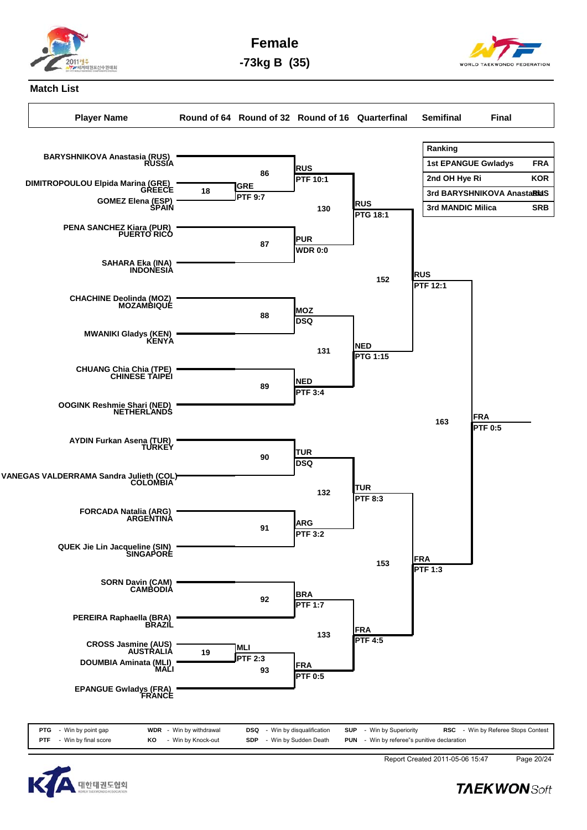

**Female -73kg B (35)**

## **Match List**

**Player Name Round of 64 Round of 32 Round of 16 Quarterfinal Semifinal Final Ranking 1st EPANGUE Gwladys FRA 2nd OH Hye Ri KOR 3rd BARYSHNIKOVA AnastaRidS 3rd MANDIC Milica SRB BARYSHNIKOVA Anastasia (RUS) RUSSIA DIMITROPOULOU Elpida Marina (GRE) GREECE GOMEZ Elena (ESP) SPAIN GRE PTF 9:7 18 PENA SANCHEZ Kiara (PUR) PUERTO RICO SAHARA Eka (INA) INDONESIA CHACHINE Deolinda (MOZ) MOZAMBIQUE MWANIKI Gladys (KEN) KENYA CHUANG Chia Chia (TPE) CHINESE TAIPEI OOGINK Reshmie Shari (NED) NETHERLANDS AYDIN Furkan Asena (TUR) TURKEY VANEGAS VALDERRAMA Sandra Julieth (COL) COLOMBIA FORCADA Natalia (ARG) ARGENTINA QUEK Jie Lin Jacqueline (SIN) SINGAPORE RUS PTF 10:1 86 PUR WDR 0:0 87 MOZ** 88 **DSQ NED PTF 3:4 89 TUR DSQ <sup>90</sup> ARG PTF 3:2 91 RUS PTG 18:1 130 NED PTG 1:15 131 TUR PTF 8:3 132 RUS PTF 12:1 152 FRA FRA PTF 0:5 163**



| <b>PTG</b> - Win by point gap   |    | <b>WDR</b> - Win by withdrawal | <b>DSQ</b> - Win by disqualification | <b>SUP</b> - Win by Superiority                    | <b>RSC</b> - Win by Referee Stops Contest |
|---------------------------------|----|--------------------------------|--------------------------------------|----------------------------------------------------|-------------------------------------------|
| <b>PTF</b> - Win by final score | KO | - Win by Knock-out             | <b>SDP</b> - Win by Sudden Death     | <b>PUN</b> - Win by referee"s punitive declaration |                                           |



Report Created 2011-05-06 15:47 Page 20/24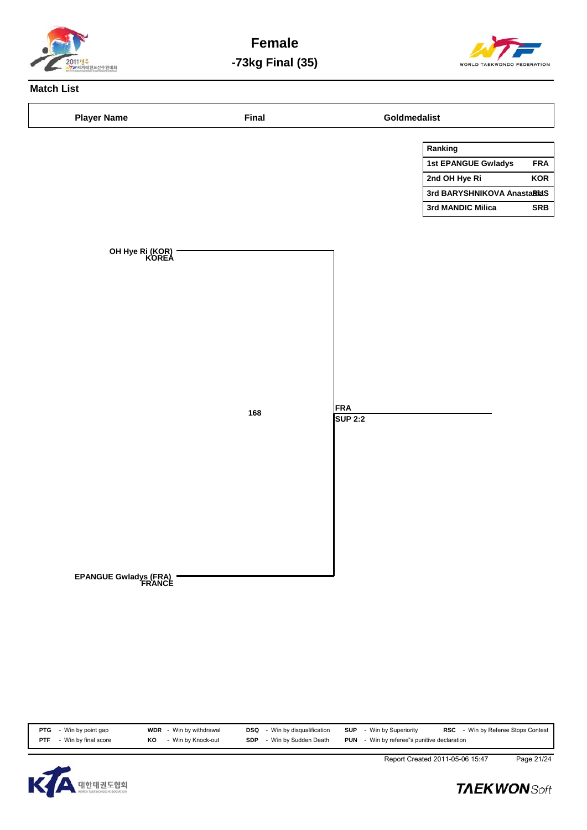

**Female -73kg Final (35)**



# **Match List**

|                                 |     |                | Ranking                     |            |
|---------------------------------|-----|----------------|-----------------------------|------------|
|                                 |     |                | 1st EPANGUE Gwladys         | <b>FRA</b> |
|                                 |     |                | 2nd OH Hye Ri               | <b>KOR</b> |
|                                 |     |                | 3rd BARYSHNIKOVA AnastaRidS |            |
|                                 |     |                | 3rd MANDIC Milica           | <b>SRB</b> |
|                                 |     |                |                             |            |
|                                 |     |                |                             |            |
| OH Hye Ri (KOR)<br>KOREA        |     |                |                             |            |
|                                 |     |                |                             |            |
|                                 |     |                |                             |            |
|                                 |     |                |                             |            |
|                                 |     |                |                             |            |
|                                 |     |                |                             |            |
|                                 |     |                |                             |            |
|                                 |     |                |                             |            |
|                                 |     |                |                             |            |
|                                 |     |                |                             |            |
|                                 |     |                |                             |            |
|                                 | 168 | <b>FRA</b>     |                             |            |
|                                 |     | <b>SUP 2:2</b> |                             |            |
|                                 |     |                |                             |            |
|                                 |     |                |                             |            |
|                                 |     |                |                             |            |
|                                 |     |                |                             |            |
|                                 |     |                |                             |            |
|                                 |     |                |                             |            |
|                                 |     |                |                             |            |
|                                 |     |                |                             |            |
|                                 |     |                |                             |            |
|                                 |     |                |                             |            |
| EPANGUE Gwladys (FRA)<br>FRANCE |     |                |                             |            |
|                                 |     |                |                             |            |
|                                 |     |                |                             |            |
|                                 |     |                |                             |            |
|                                 |     |                |                             |            |

| Win by final score<br>- Win by Knock-out<br><b>PTF</b><br>KO |                                     |                                                    |  |
|--------------------------------------------------------------|-------------------------------------|----------------------------------------------------|--|
|                                                              | - Win by Sudden Death<br><b>SDP</b> | <b>PUN</b> - Win by referee"s punitive declaration |  |



Report Created 2011-05-06 15:47 Page 21/24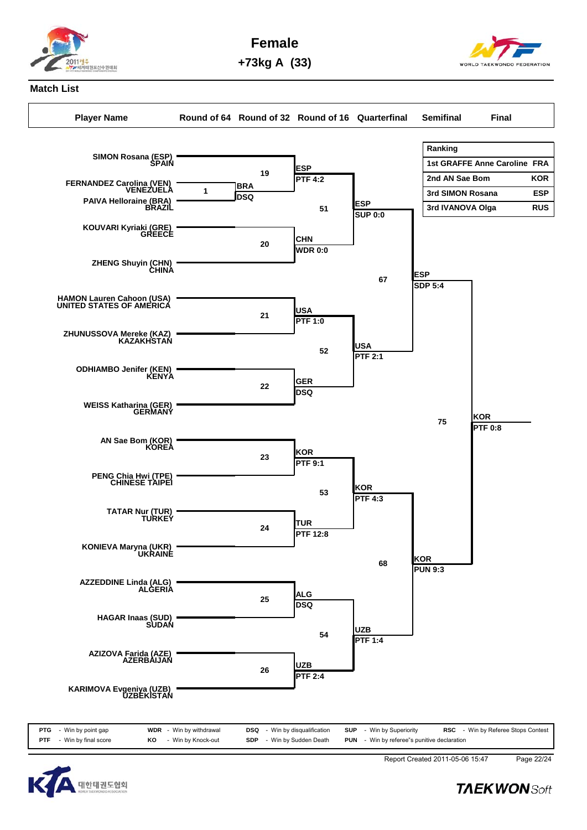

**Female**

**+73kg A (33)**



## **Match List**

**Player Name Round of 64 Round of 32 Round of 16 Quarterfinal Semifinal Final**





Report Created 2011-05-06 15:47 Page 22/24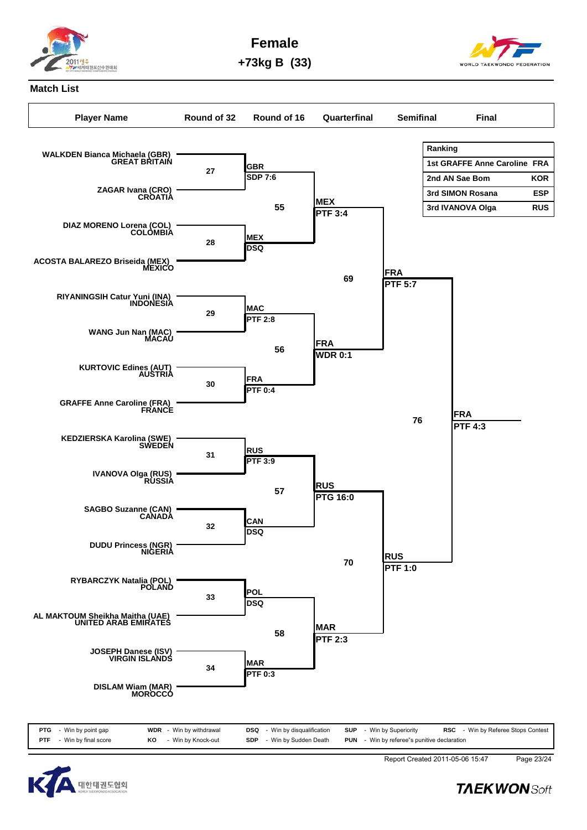

**Female +73kg B (33)**

## **Match List**





Report Created 2011-05-06 15:47 Page 23/24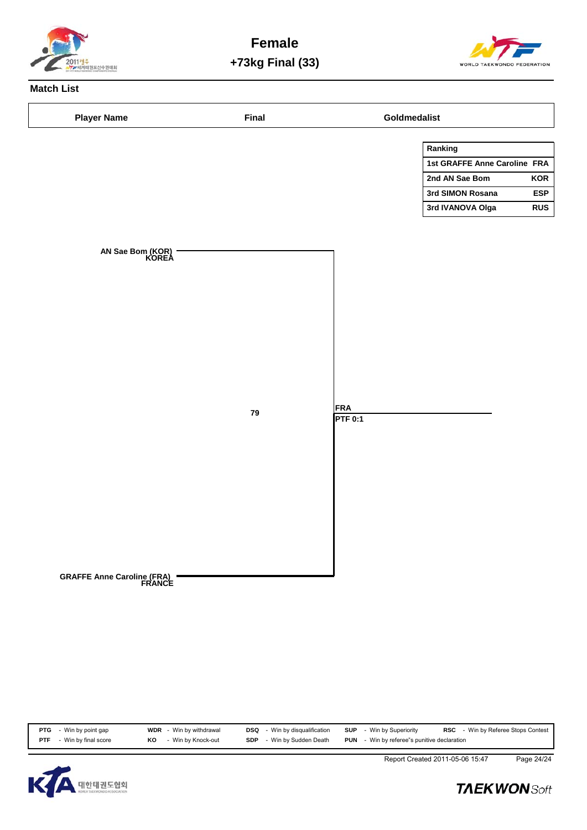

**Female +73kg Final (33)**



# **Match List**

| <b>Player Name</b>                   | <b>Final</b> |                              | Goldmedalist                 |            |
|--------------------------------------|--------------|------------------------------|------------------------------|------------|
|                                      |              |                              | Ranking                      |            |
|                                      |              |                              | 1st GRAFFE Anne Caroline FRA |            |
|                                      |              |                              | 2nd AN Sae Bom               | <b>KOR</b> |
|                                      |              |                              | 3rd SIMON Rosana             | <b>ESP</b> |
|                                      |              |                              | 3rd IVANOVA Olga             | <b>RUS</b> |
|                                      |              |                              |                              |            |
|                                      |              |                              |                              |            |
| AN Sae Bom (KOR)<br>KOREA            |              |                              |                              |            |
|                                      |              |                              |                              |            |
|                                      |              |                              |                              |            |
|                                      |              |                              |                              |            |
|                                      |              |                              |                              |            |
|                                      |              |                              |                              |            |
|                                      |              |                              |                              |            |
|                                      |              |                              |                              |            |
|                                      |              |                              |                              |            |
|                                      |              |                              |                              |            |
|                                      |              |                              |                              |            |
|                                      | 79           | <b>FRA</b><br><b>PTF 0:1</b> |                              |            |
|                                      |              |                              |                              |            |
|                                      |              |                              |                              |            |
|                                      |              |                              |                              |            |
|                                      |              |                              |                              |            |
|                                      |              |                              |                              |            |
|                                      |              |                              |                              |            |
|                                      |              |                              |                              |            |
|                                      |              |                              |                              |            |
|                                      |              |                              |                              |            |
|                                      |              |                              |                              |            |
|                                      |              |                              |                              |            |
| GRAFFE Anne Caroline (FRA)<br>FRANCE |              |                              |                              |            |
|                                      |              |                              |                              |            |
|                                      |              |                              |                              |            |
|                                      |              |                              |                              |            |
|                                      |              |                              |                              |            |

|            | <b>PTG</b> - Win by point gap |    | <b>WDR</b> - Win by withdrawal | <b>DSQ</b> - Win by disqualification |  | <b>SUP</b> - Win by Superiority                    | <b>RSC</b> - Win by Referee Stops Contest |
|------------|-------------------------------|----|--------------------------------|--------------------------------------|--|----------------------------------------------------|-------------------------------------------|
| <b>PTF</b> | - Win by final score          | ΚO | - Win by Knock-out             | <b>SDP</b> - Win by Sudden Death     |  | <b>PUN</b> - Win by referee"s punitive declaration |                                           |



Report Created 2011-05-06 15:47 Page 24/24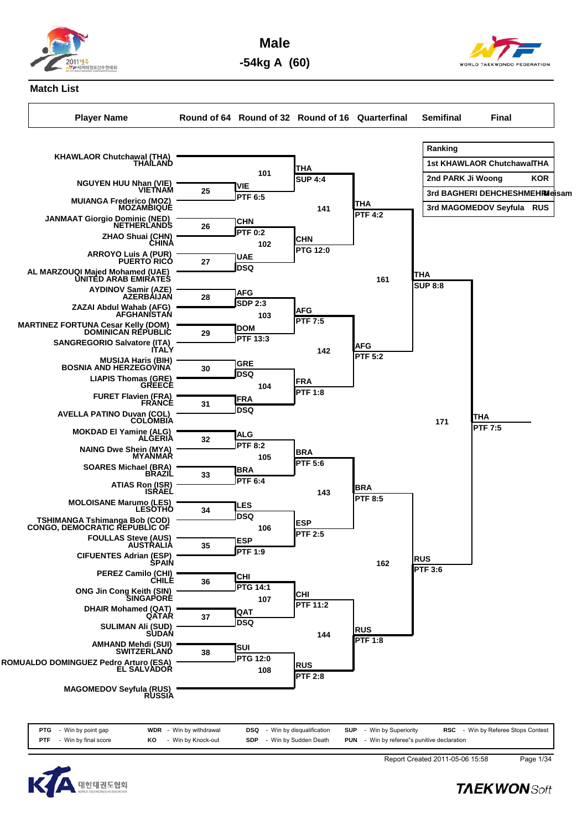

**Male**



**-54kg A (60)**

## **Match List**

**Player Name Round of 64 Round of 32 Round of 16 Quarterfinal Semifinal Final**





Report Created 2011-05-06 15:58 Page 1/34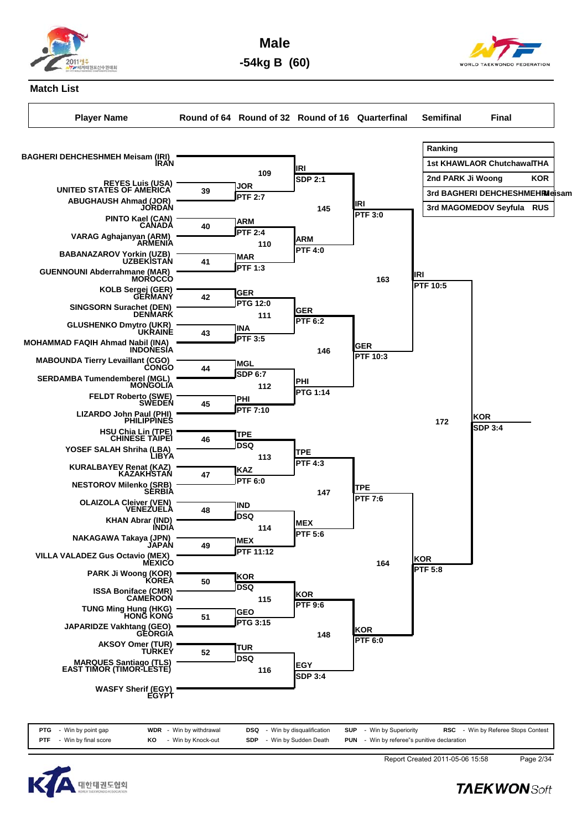

**Male -54kg B (60)**



**Match List**

**Player Name Round of 64 Round of 32 Round of 16 Quarterfinal Semifinal Final Ranking 1st KHAWLAOR ChutchawalTHA** 2nd PARK Ji Woong KOR **3rd BAGHERI DEHCHESHMEH Meisam IRI 3rd MAGOMEDOV Seyfula RUS BAGHERI DEHCHESHMEH Meisam (IRI) IRAN REYES Luis (USA) UNITED STATES OF AMERICA ABUGHAUSH Ahmad (JOR) JORDAN JOR PTF 2:7 39 PINTO Kael (CAN) CANADA VARAG Aghajanyan (ARM) ARMENIA ARM PTF 2:4 40 BABANAZAROV Yorkin (UZB) UZBEKISTAN GUENNOUNI Abderrahmane (MAR) MOROCCO MAR PTF 1:3 41 KOLB Sergej (GER) GERMANY SINGSORN Surachet (DEN) DENMARK GER PTG 12:0 42 GLUSHENKO Dmytro (UKR) UKRAINE MOHAMMAD FAQIH Ahmad Nabil (INA) INDONESIA INA PTF 3:5 43 MABOUNDA Tierry Levaillant (CGO) CONGO SERDAMBA Tumendemberel (MGL) MONGOLIA MGL SDP 6:7 44 FELDT Roberto (SWE) SWEDEN LIZARDO John Paul (PHI) PHILIPPINES PHI PTF 7:10 45 HSU Chia Lin (TPE) CHINESE TAIPEI YOSEF SALAH Shriha (LBA) LIBYA TPE DSQ <sup>46</sup> KURALBAYEV Renat (KAZ) KAZAKHSTAN NESTOROV Milenko (SRB) SERBIA KAZ PTF 6:0 47 OLAIZOLA Cleiver (VEN) VENEZUELA KHAN Abrar (IND) INDIA IND DSQ <sup>48</sup> NAKAGAWA Takaya (JPN) JAPAN VILLA VALADEZ Gus Octavio (MEX) MEXICO MEX PTF 11:12 49 PARK Ji Woong (KOR) KOREA ISSA Boniface (CMR) CAMEROON KOR DSQ <sup>50</sup> TUNG Ming Hung (HKG) HONG KONG JAPARIDZE Vakhtang (GEO) GEORGIA GEO PTG 3:15 51 AKSOY Omer (TUR) TURKEY MARQUES Santiago (TLS) EAST TIMOR (TIMOR-LESTE) TUR DSQ <sup>52</sup> IRI** 109 **IDEN**<br>**SDP** 2:1 **ARM PTF 4:0 110 GER PTF 6:2 111 PHI PTG 1:14 112 TPE PTF 4:3 113 MEX PTF 5:6 114 KOR PTF 9:6 115 IRI PTF 3:0 145 GER PTF 10:3 146 TPE PTF 7:6 147 KOR PTF 6:0 148 IRI PTF 10:5 163 KOR PTF 5:8 164 KOR SDP 3:4 172**

**WASFY Sherif (EGY) EGYPT**

| <b>PTG</b> - Win by point gap   |    | <b>WDR</b> - Win by withdrawal | <b>DSQ</b> - Win by disqualification | <b>SUP</b> - Win by Superiority                    | <b>RSC</b> - Win by Referee Stops Contes |
|---------------------------------|----|--------------------------------|--------------------------------------|----------------------------------------------------|------------------------------------------|
| <b>PTF</b> - Win by final score | KO | - Win by Knock-out             | <b>SDP</b> - Win by Sudden Death     | <b>PUN</b> - Win by referee"s punitive declaration |                                          |

**EGY SDP 3:4 <sup>116</sup>**



Report Created 2011-05-06 15:58 Page 2/34

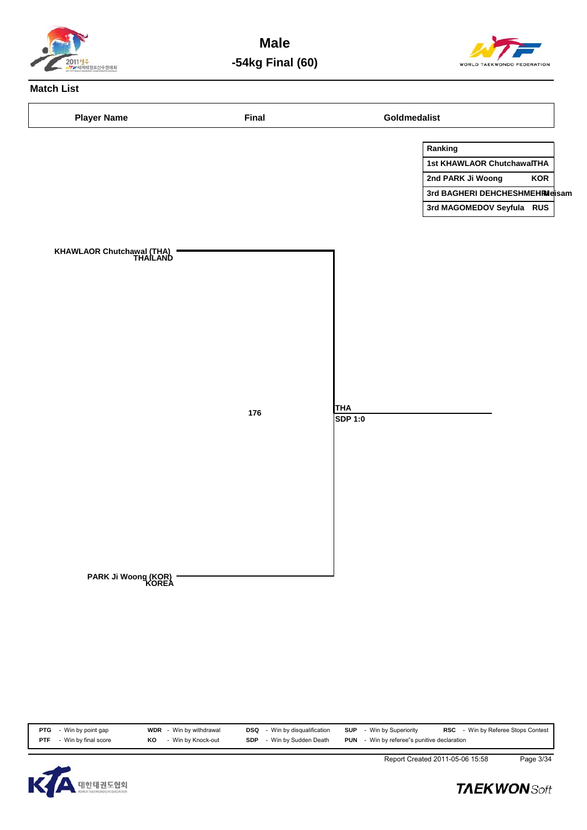

**Male -54kg Final (60)**



# **Match List**

| <b>Player Name</b>                    | Final |                | Goldmedalist                   |            |
|---------------------------------------|-------|----------------|--------------------------------|------------|
|                                       |       |                | Ranking                        |            |
|                                       |       |                | 1st KHAWLAOR ChutchawalTHA     |            |
|                                       |       |                | 2nd PARK Ji Woong              | <b>KOR</b> |
|                                       |       |                | 3rd BAGHERI DEHCHESHMEHRMeisam |            |
|                                       |       |                | 3rd MAGOMEDOV Seyfula RUS      |            |
|                                       |       |                |                                |            |
| KHAWLAOR Chutchawal (THA)<br>THAILAND |       |                |                                |            |
|                                       |       | <b>THA</b>     |                                |            |
|                                       | 176   | <b>SDP 1:0</b> |                                |            |
|                                       |       |                |                                |            |
|                                       |       |                |                                |            |
|                                       |       |                |                                |            |
|                                       |       |                |                                |            |
|                                       |       |                |                                |            |
|                                       |       |                |                                |            |
|                                       |       |                |                                |            |
|                                       |       |                |                                |            |
|                                       |       |                |                                |            |
|                                       |       |                |                                |            |
| PARK Ji Woong (KOR)<br>KOREA          |       |                |                                |            |
|                                       |       |                |                                |            |
|                                       |       |                |                                |            |
|                                       |       |                |                                |            |

| <b>PTG</b> - Win by point gap   |    | <b>WDR</b> - Win by withdrawal | <b>DSQ</b> | - Win by disqualification | <b>SUP</b> - Win by Superiority                    | <b>RSC</b> - Win by Referee Stops Contest |
|---------------------------------|----|--------------------------------|------------|---------------------------|----------------------------------------------------|-------------------------------------------|
| <b>PTF</b> - Win by final score | KO | - Win by Knock-out             | <b>SDP</b> | - Win by Sudden Death     | <b>PUN</b> - Win by referee"s punitive declaration |                                           |



Report Created 2011-05-06 15:58 Page 3/34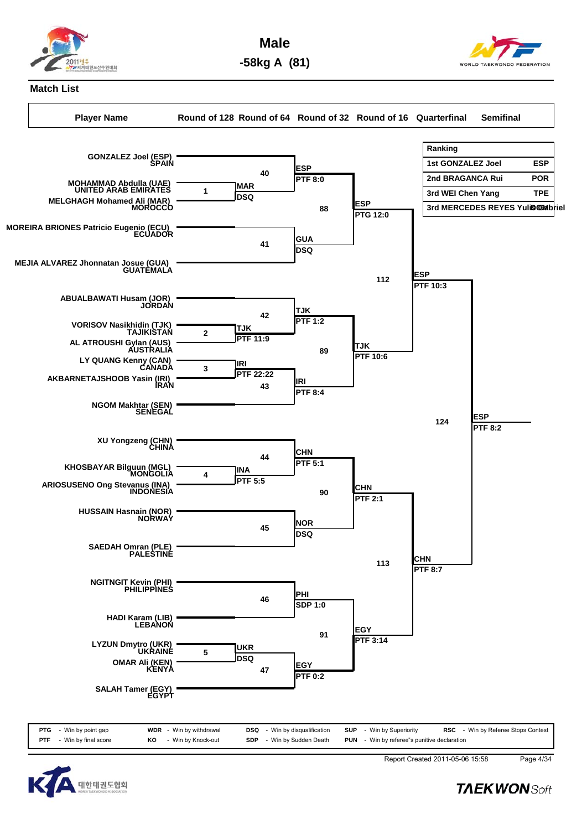

**Male -58kg A (81)**



#### **Match List**

**Player Name Round of 128 Round of 64 Round of 32 Round of 16 Quarterfinal Semifinal**





Report Created 2011-05-06 15:58 Page 4/34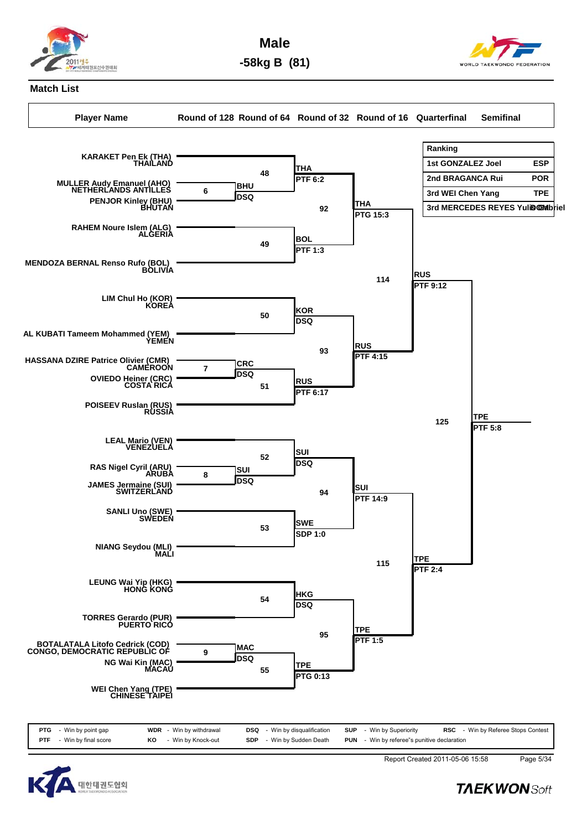

**Male -58kg B (81)**



## **Match List**

**Player Name Round of 128 Round of 64 Round of 32 Round of 16 Quarterfinal Semifinal**





Report Created 2011-05-06 15:58 Page 5/34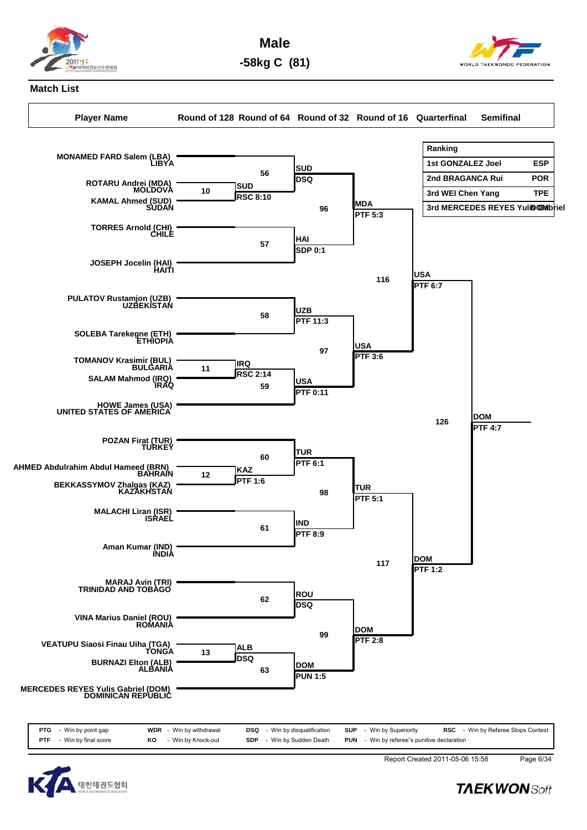

**Male -58kg C (81)**



### **Match List**

**Player Name Round of 128 Round of 64 Round of 32 Round of 16 Quarterfinal Semifinal**



| PTG<br>- Win by point gap        | <b>WDR</b> - Win by withdrawal | <b>DSQ</b><br>- Win by disqualification | <b>SUP</b> - Win by Superiority                    | <b>RSC</b> - Win by Referee Stops Contest |
|----------------------------------|--------------------------------|-----------------------------------------|----------------------------------------------------|-------------------------------------------|
| Win by final score<br><b>PTF</b> | - Win by Knock-out<br>KO       | - Win by Sudden Death<br><b>SDP</b>     | <b>PUN</b> - Win by referee"s punitive declaration |                                           |
|                                  |                                |                                         |                                                    |                                           |



Report Created 2011-05-06 15:58 Page 6/34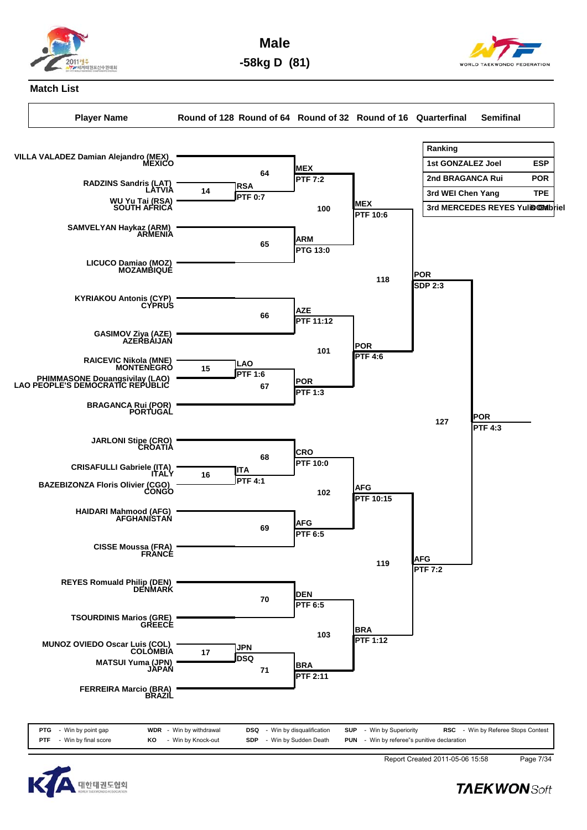

**Male -58kg D (81)**



### **Match List**

**Player Name Round of 128 Round of 64 Round of 32 Round of 16 Quarterfinal Semifinal**





Report Created 2011-05-06 15:58 Page 7/34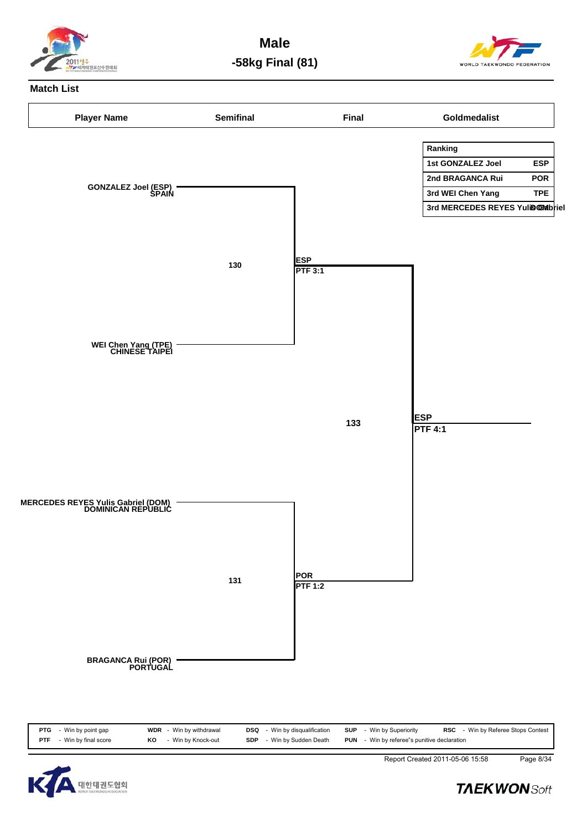

**Male -58kg Final (81)**



#### **Match List**





**TAEKWONSoft** 

Report Created 2011-05-06 15:58 Page 8/34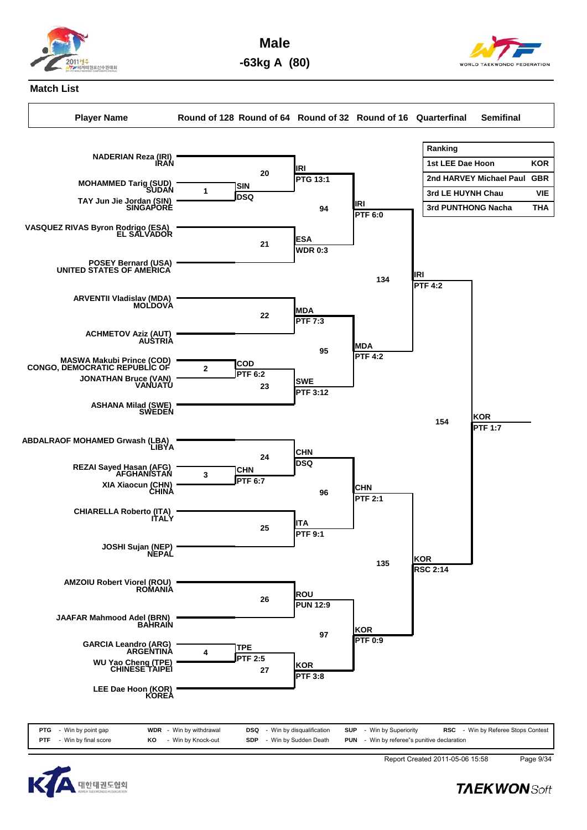

**Male -63kg A (80)**



### **Match List**

**Player Name Round of 128 Round of 64 Round of 32 Round of 16 Quarterfinal Semifinal**





Report Created 2011-05-06 15:58 Page 9/34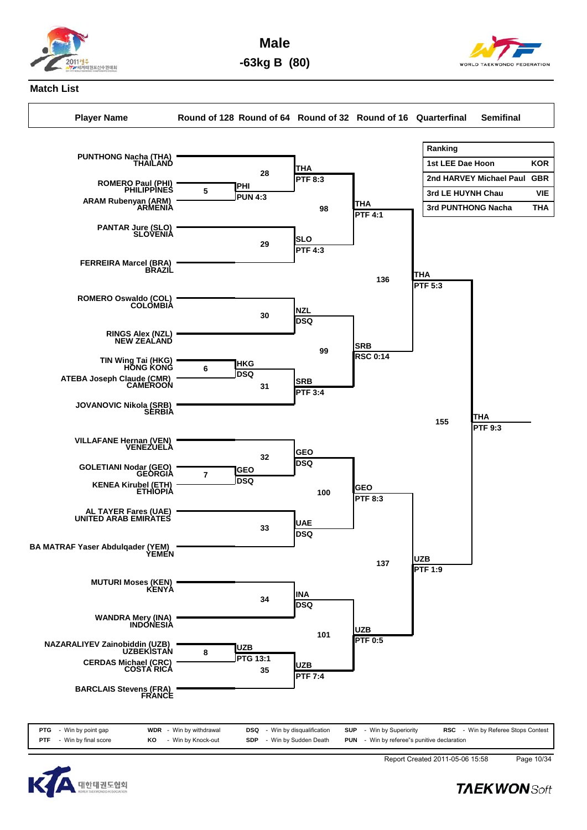

**Male -63kg B (80)**



## **Match List**

**Player Name Round of 128 Round of 64 Round of 32 Round of 16 Quarterfinal Semifinal**





Report Created 2011-05-06 15:58 Page 10/34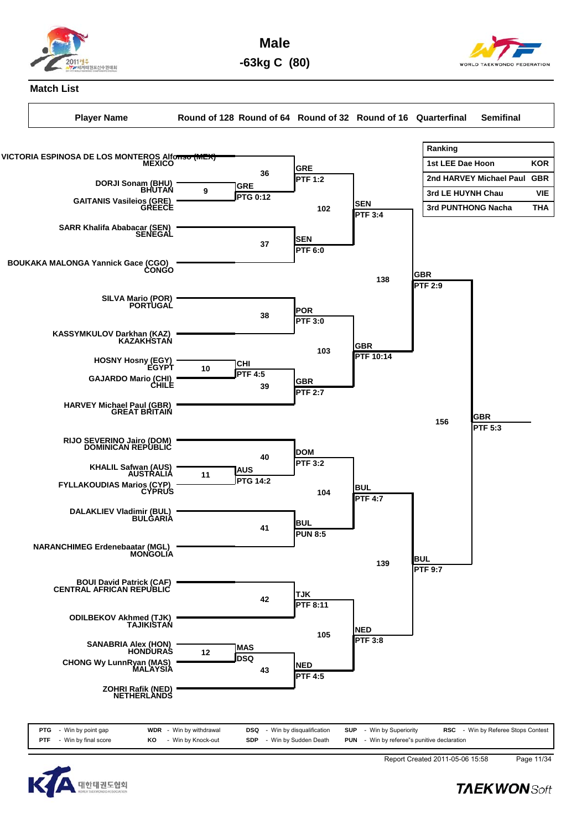

**Male -63kg C (80)**



### **Match List**

**Player Name Round of 128 Round of 64 Round of 32 Round of 16 Quarterfinal Semifinal**





Report Created 2011-05-06 15:58 Page 11/34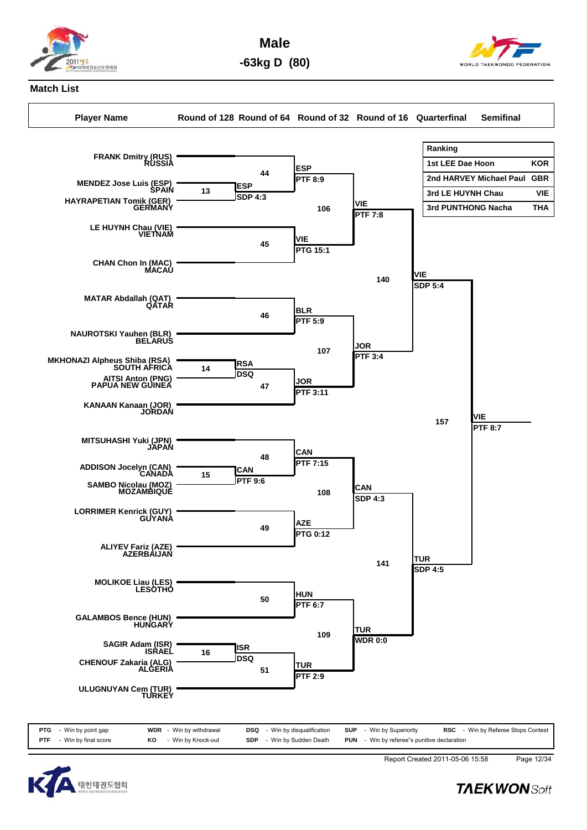

**Male -63kg D (80)**



## **Match List**

**Player Name Round of 128 Round of 64 Round of 32 Round of 16 Quarterfinal Semifinal**





Report Created 2011-05-06 15:58 Page 12/34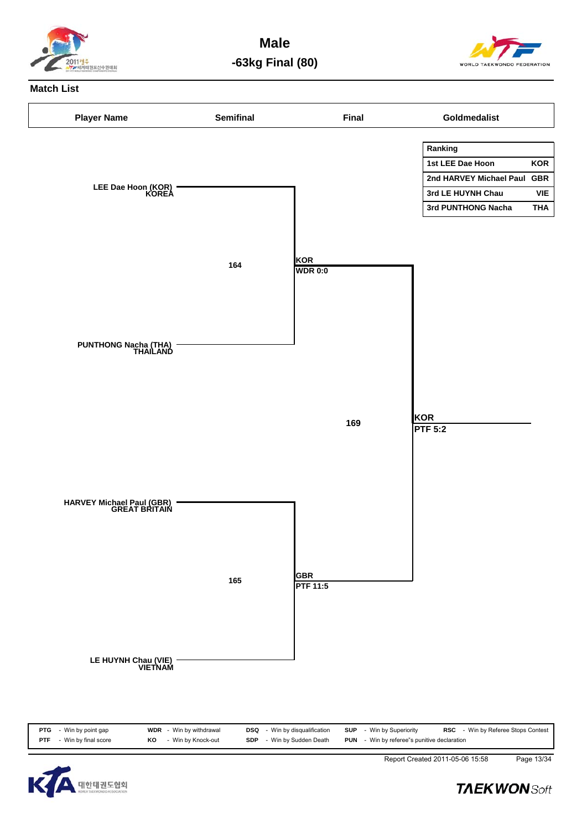

**Male -63kg Final (80)**



### **Match List**





Report Created 2011-05-06 15:58 Page 13/34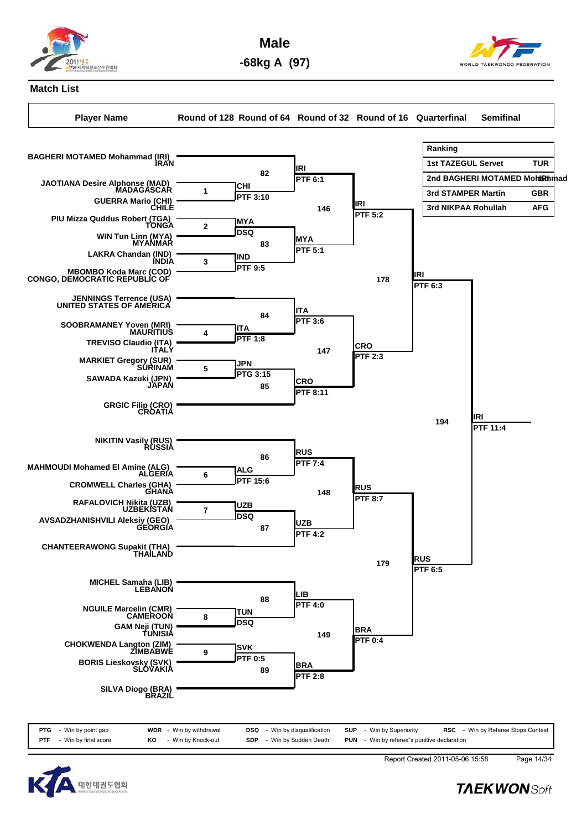

**Male -68kg A (97)**



## **Match List**

**Player Name Round of 128 Round of 64 Round of 32 Round of 16 Quarterfinal Semifinal**





Report Created 2011-05-06 15:58 Page 14/34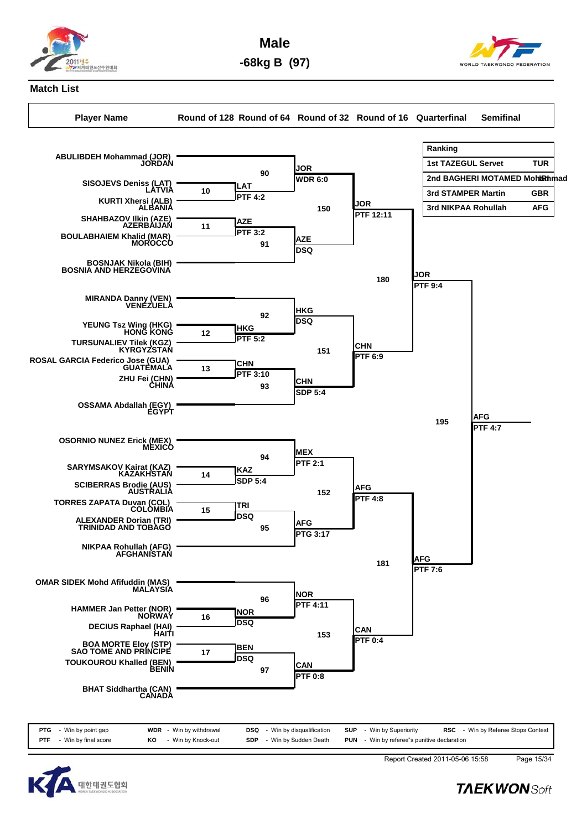

**Male -68kg B (97)**



## **Match List**

**Player Name Round of 128 Round of 64 Round of 32 Round of 16 Quarterfinal Semifinal**





Report Created 2011-05-06 15:58 Page 15/34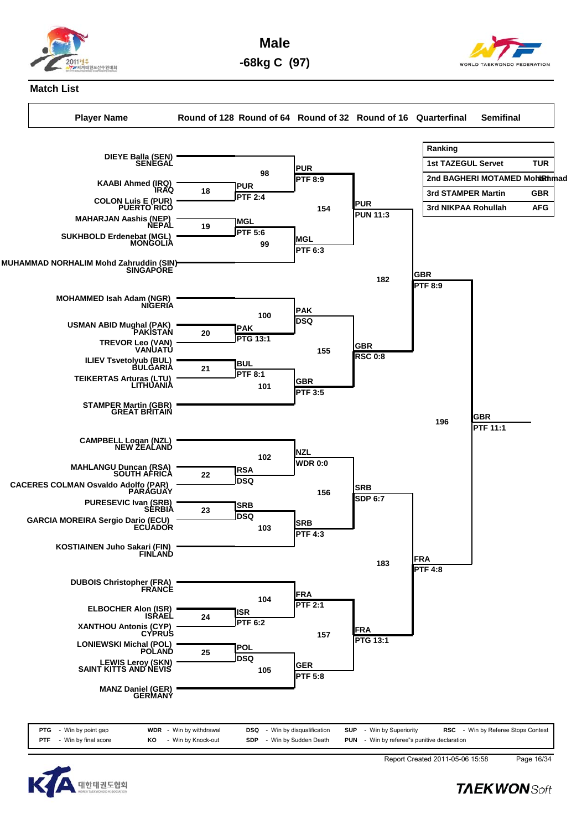

**Male -68kg C (97)**



**Match List**

**Player Name Round of 128 Round of 64 Round of 32 Round of 16 Quarterfinal Semifinal**



| <b>PTG</b> - Win by point gap   | <b>WDR</b> - Win by withdrawal | <b>DSQ</b> - Win by disqualification |  | <b>SUP</b> - Win by Superiority                    | <b>RSC</b> - Win by Referee Stops Contest |
|---------------------------------|--------------------------------|--------------------------------------|--|----------------------------------------------------|-------------------------------------------|
| <b>PTF</b> - Win by final score | KO - Win by Knock-out          | <b>SDP</b> - Win by Sudden Death     |  | <b>PUN</b> - Win by referee"s punitive declaration |                                           |



Report Created 2011-05-06 15:58 Page 16/34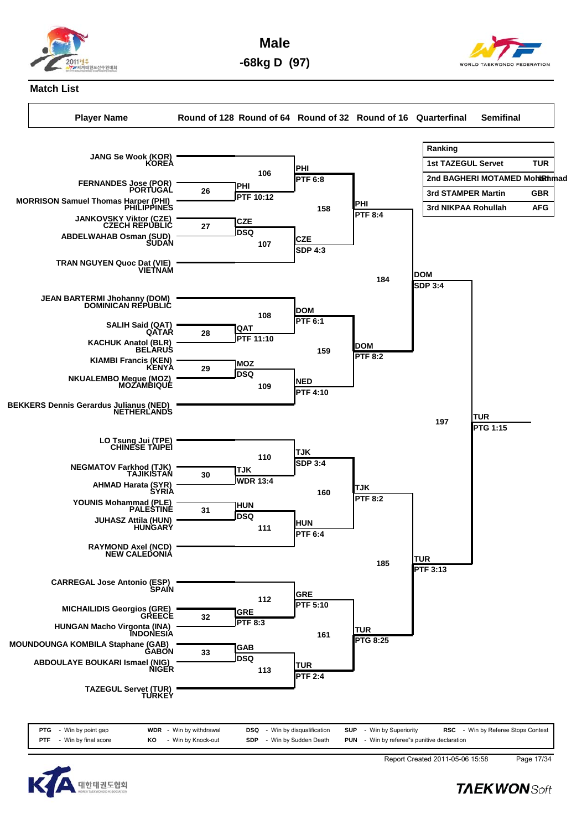

**Male -68kg D (97)**



#### **Match List**

**Player Name Round of 128 Round of 64 Round of 32 Round of 16 Quarterfinal Semifinal**





Report Created 2011-05-06 15:58 Page 17/34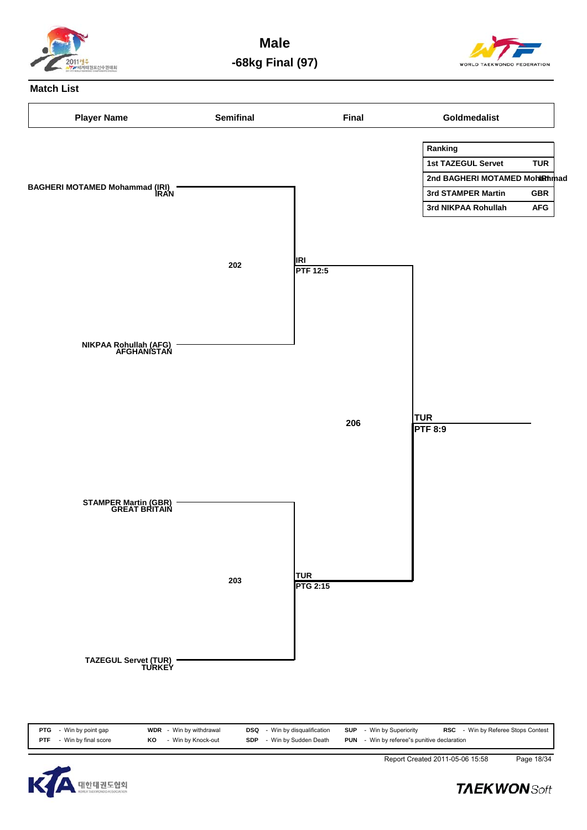

**Male -68kg Final (97)**



#### **Match List**





Report Created 2011-05-06 15:58 Page 18/34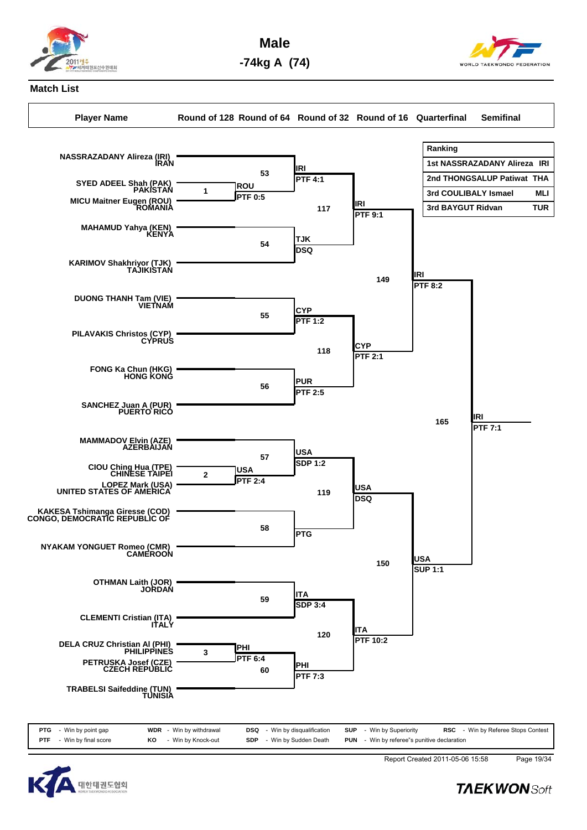

**Male -74kg A (74)**



## **Match List**

**Player Name Round of 128 Round of 64 Round of 32 Round of 16 Quarterfinal Semifinal**



![](_page_42_Picture_7.jpeg)

Report Created 2011-05-06 15:58 Page 19/34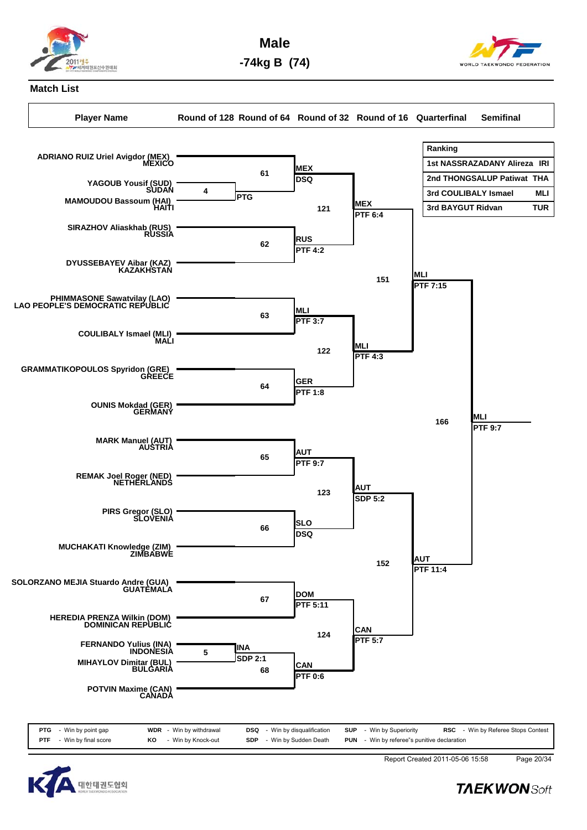![](_page_43_Picture_0.jpeg)

**Male -74kg B (74)**

![](_page_43_Picture_2.jpeg)

## **Match List**

**Player Name Round of 128 Round of 64 Round of 32 Round of 16 Quarterfinal Semifinal**

![](_page_43_Figure_6.jpeg)

![](_page_43_Picture_7.jpeg)

Report Created 2011-05-06 15:58 Page 20/34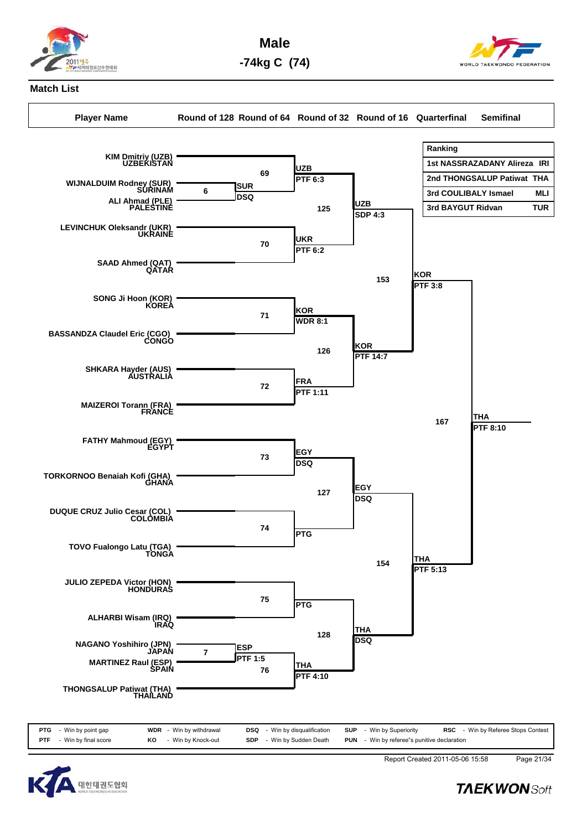![](_page_44_Picture_0.jpeg)

**Male -74kg C (74)**

![](_page_44_Picture_2.jpeg)

## **Match List**

**Player Name Round of 128 Round of 64 Round of 32 Round of 16 Quarterfinal Semifinal**

![](_page_44_Figure_6.jpeg)

![](_page_44_Picture_7.jpeg)

Report Created 2011-05-06 15:58 Page 21/34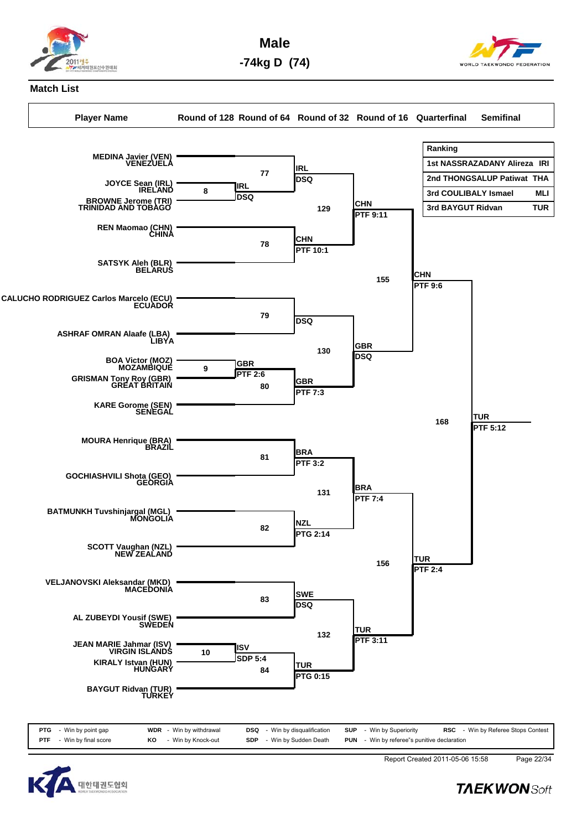![](_page_45_Picture_0.jpeg)

**Male -74kg D (74)**

![](_page_45_Picture_2.jpeg)

#### **Match List**

**Player Name Round of 128 Round of 64 Round of 32 Round of 16 Quarterfinal Semifinal**

![](_page_45_Figure_6.jpeg)

![](_page_45_Picture_7.jpeg)

Report Created 2011-05-06 15:58 Page 22/34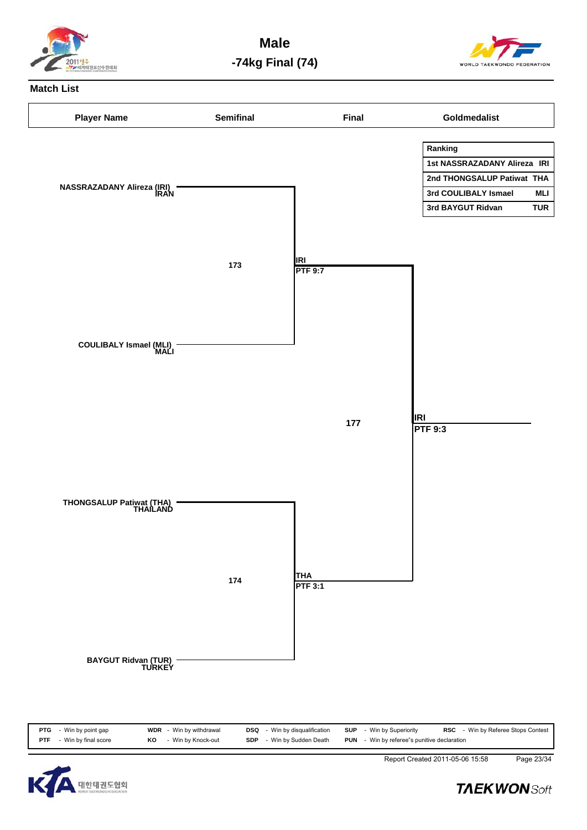![](_page_46_Picture_0.jpeg)

**Male -74kg Final (74)**

![](_page_46_Picture_2.jpeg)

#### **Match List**

![](_page_46_Figure_4.jpeg)

![](_page_46_Picture_5.jpeg)

Report Created 2011-05-06 15:58 Page 23/34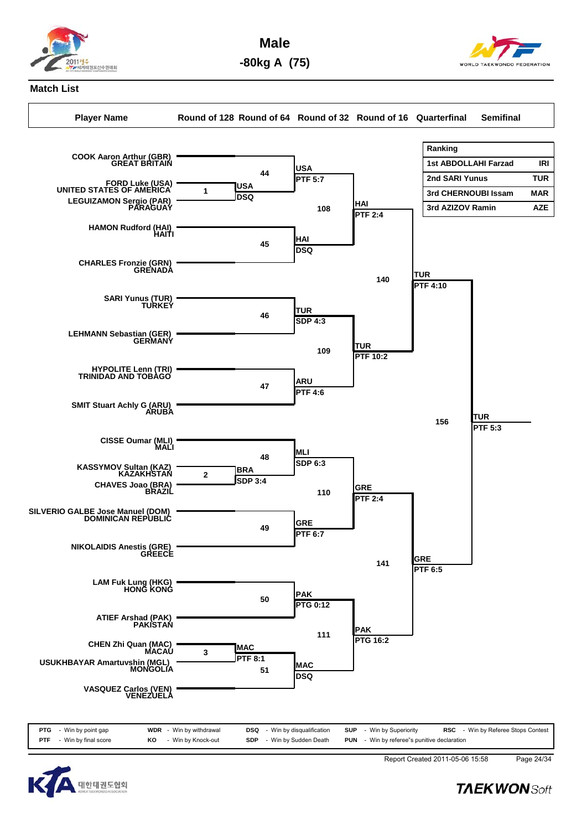![](_page_47_Picture_0.jpeg)

**Male -80kg A (75)**

![](_page_47_Picture_2.jpeg)

## **Match List**

**Player Name Round of 128 Round of 64 Round of 32 Round of 16 Quarterfinal Semifinal**

![](_page_47_Figure_6.jpeg)

![](_page_47_Picture_7.jpeg)

Report Created 2011-05-06 15:58 Page 24/34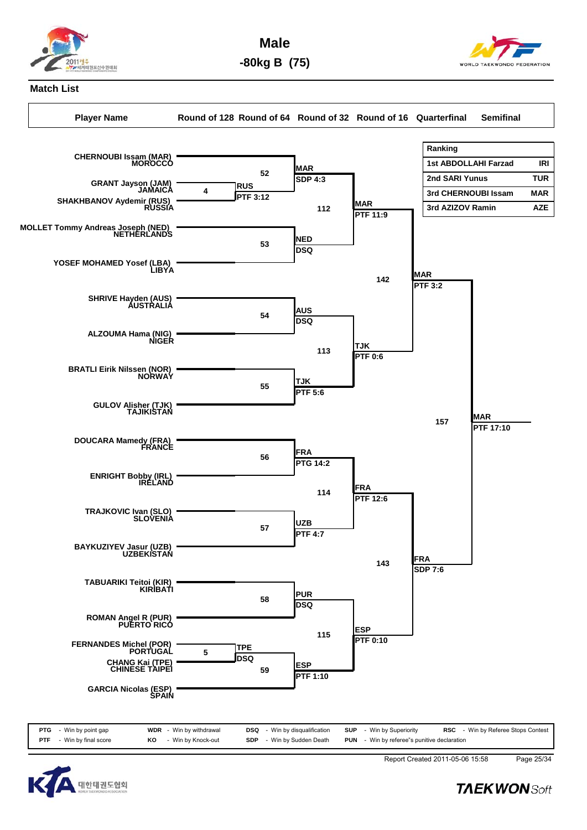![](_page_48_Picture_0.jpeg)

**Male -80kg B (75)**

![](_page_48_Picture_2.jpeg)

## **Match List**

**Player Name Round of 128 Round of 64 Round of 32 Round of 16 Quarterfinal Semifinal**

![](_page_48_Figure_6.jpeg)

![](_page_48_Picture_7.jpeg)

Report Created 2011-05-06 15:58 Page 25/34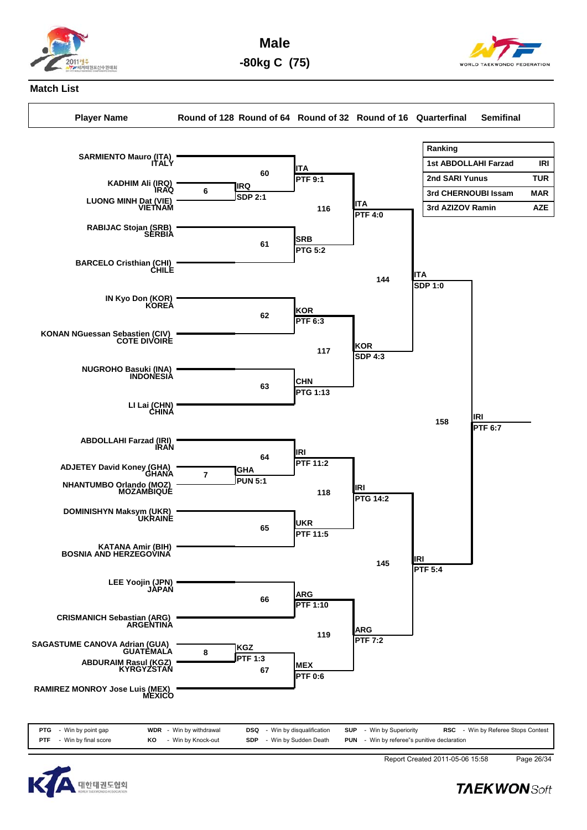![](_page_49_Picture_0.jpeg)

**Male -80kg C (75)**

![](_page_49_Picture_2.jpeg)

## **Match List**

**Player Name Round of 128 Round of 64 Round of 32 Round of 16 Quarterfinal Semifinal**

![](_page_49_Figure_6.jpeg)

![](_page_49_Picture_7.jpeg)

Report Created 2011-05-06 15:58 Page 26/34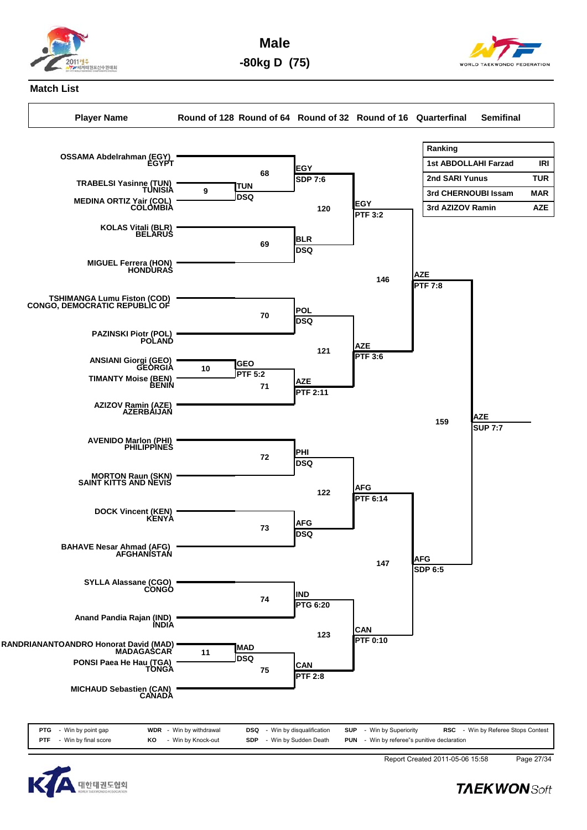![](_page_50_Picture_0.jpeg)

**Male -80kg D (75)**

![](_page_50_Picture_2.jpeg)

## **Match List**

**Player Name Round of 128 Round of 64 Round of 32 Round of 16 Quarterfinal Semifinal**

![](_page_50_Figure_6.jpeg)

![](_page_50_Picture_7.jpeg)

Report Created 2011-05-06 15:58 Page 27/34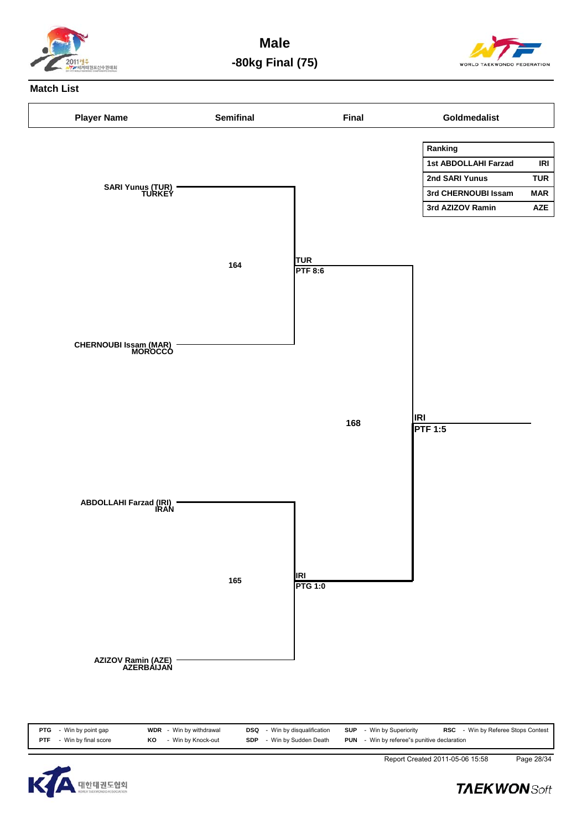![](_page_51_Picture_0.jpeg)

**Male -80kg Final (75)**

![](_page_51_Picture_2.jpeg)

### **Match List**

![](_page_51_Figure_4.jpeg)

![](_page_51_Picture_5.jpeg)

Report Created 2011-05-06 15:58 Page 28/34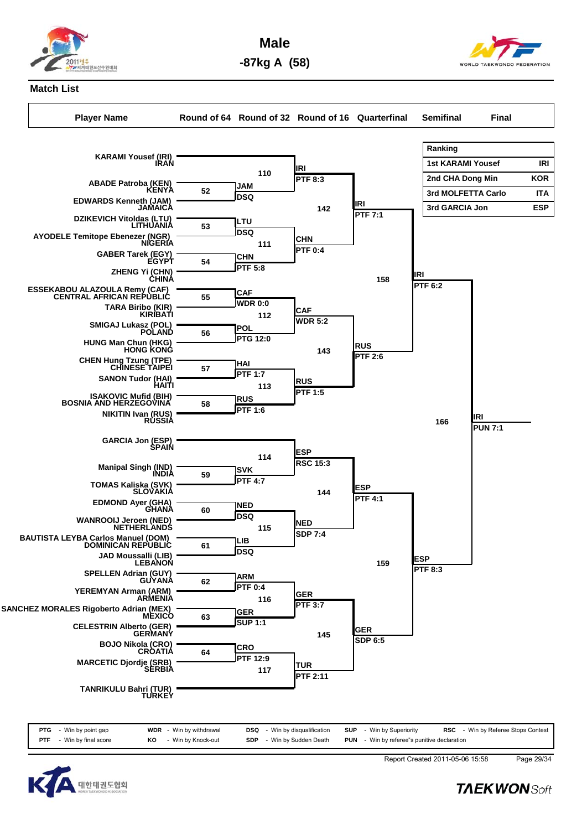![](_page_52_Picture_0.jpeg)

**Male -87kg A (58)**

![](_page_52_Picture_2.jpeg)

#### **Match List**

**Player Name Round of 64 Round of 32 Round of 16 Quarterfinal Semifinal Final**

![](_page_52_Figure_6.jpeg)

![](_page_52_Picture_7.jpeg)

Report Created 2011-05-06 15:58 Page 29/34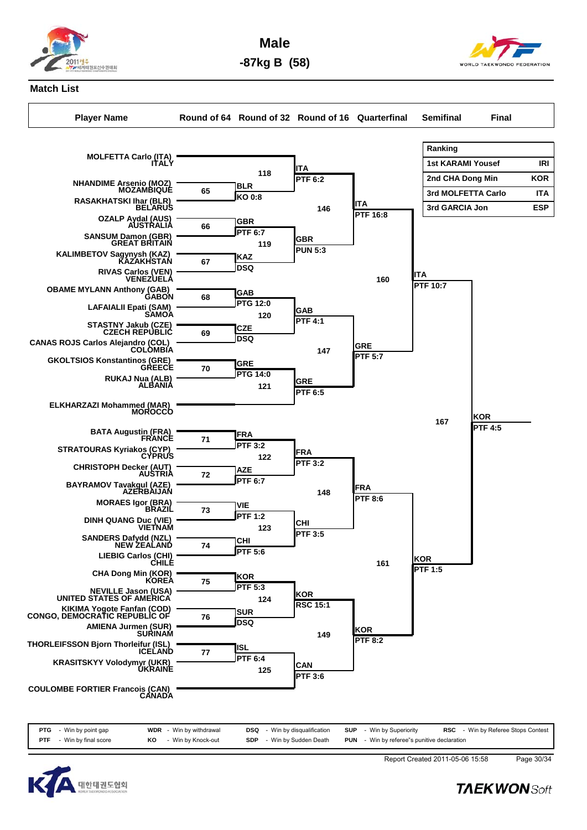![](_page_53_Picture_0.jpeg)

**Male -87kg B (58)**

![](_page_53_Picture_2.jpeg)

### **Match List**

**Player Name Round of 64 Round of 32 Round of 16 Quarterfinal Semifinal Final**

![](_page_53_Figure_6.jpeg)

|            | <b>PTG</b> - Win by point gap |    | <b>WDR</b> - Win by withdrawal | <b>DSQ</b> - Win by disqualification | <b>SUP</b> - Win by Superiority                    | <b>RSC</b> - Win by Referee Stops Contest |
|------------|-------------------------------|----|--------------------------------|--------------------------------------|----------------------------------------------------|-------------------------------------------|
| <b>PTF</b> | - Win by final score          | KO | - Win by Knock-out             | <b>SDP</b> - Win by Sudden Death     | <b>PUN</b> - Win by referee"s punitive declaration |                                           |

![](_page_53_Picture_8.jpeg)

Report Created 2011-05-06 15:58 Page 30/34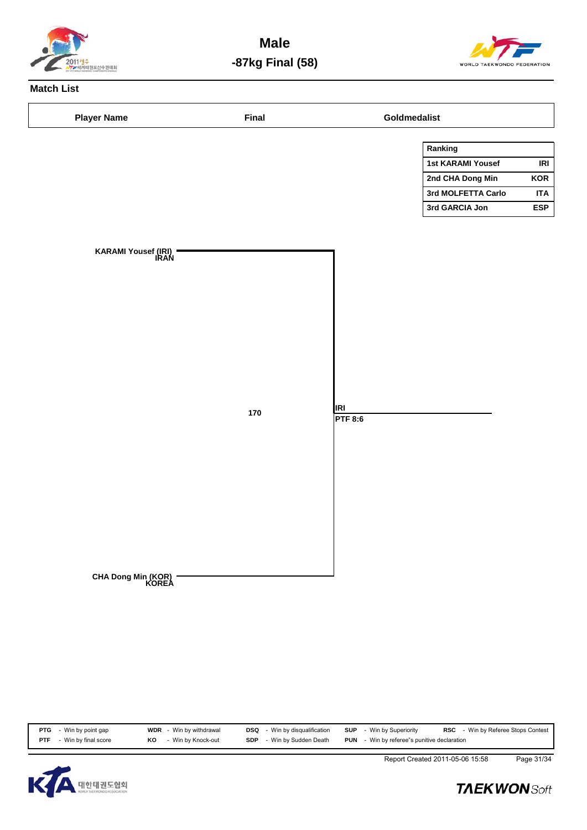![](_page_54_Picture_0.jpeg)

**Male -87kg Final (58)**

![](_page_54_Picture_2.jpeg)

# **Match List**

| <b>Player Name</b>          | Final   |                       | Goldmedalist             |            |
|-----------------------------|---------|-----------------------|--------------------------|------------|
|                             |         |                       | Ranking                  |            |
|                             |         |                       | <b>1st KARAMI Yousef</b> | IRI        |
|                             |         |                       | 2nd CHA Dong Min         | KOR        |
|                             |         |                       | 3rd MOLFETTA Carlo       | <b>ITA</b> |
|                             |         |                       | 3rd GARCIA Jon           | <b>ESP</b> |
|                             |         |                       |                          |            |
| KARAMI Yousef (IRI)<br>IRAN |         |                       |                          |            |
|                             |         |                       |                          |            |
|                             |         |                       |                          |            |
|                             |         |                       |                          |            |
|                             |         |                       |                          |            |
|                             |         |                       |                          |            |
|                             |         |                       |                          |            |
|                             |         |                       |                          |            |
|                             |         |                       |                          |            |
|                             |         |                       |                          |            |
|                             | $170\,$ | <b>IRI</b><br>PTF 8:6 |                          |            |
|                             |         |                       |                          |            |
|                             |         |                       |                          |            |
|                             |         |                       |                          |            |
|                             |         |                       |                          |            |
|                             |         |                       |                          |            |
|                             |         |                       |                          |            |
|                             |         |                       |                          |            |
|                             |         |                       |                          |            |
|                             |         |                       |                          |            |
|                             |         |                       |                          |            |
| CHA Dong Min (KOR)<br>KOREA |         |                       |                          |            |
|                             |         |                       |                          |            |
|                             |         |                       |                          |            |
|                             |         |                       |                          |            |

| Win by final score<br><b>PUN</b> - Win by referee"s punitive declaration<br>- Win by Knock-out<br>- Win by Sudden Death<br>KO<br><b>SDP</b><br><b>PTF</b> | PTG | - Win by point gap | <b>WDR</b> - Win by withdrawal | <b>DSQ</b> | - Win by disqualification | SUP | - Win by Superiority | <b>RSC</b> - Win by Referee Stops Contest |  |
|-----------------------------------------------------------------------------------------------------------------------------------------------------------|-----|--------------------|--------------------------------|------------|---------------------------|-----|----------------------|-------------------------------------------|--|
|                                                                                                                                                           |     |                    |                                |            |                           |     |                      |                                           |  |

![](_page_54_Picture_6.jpeg)

Report Created 2011-05-06 15:58 Page 31/34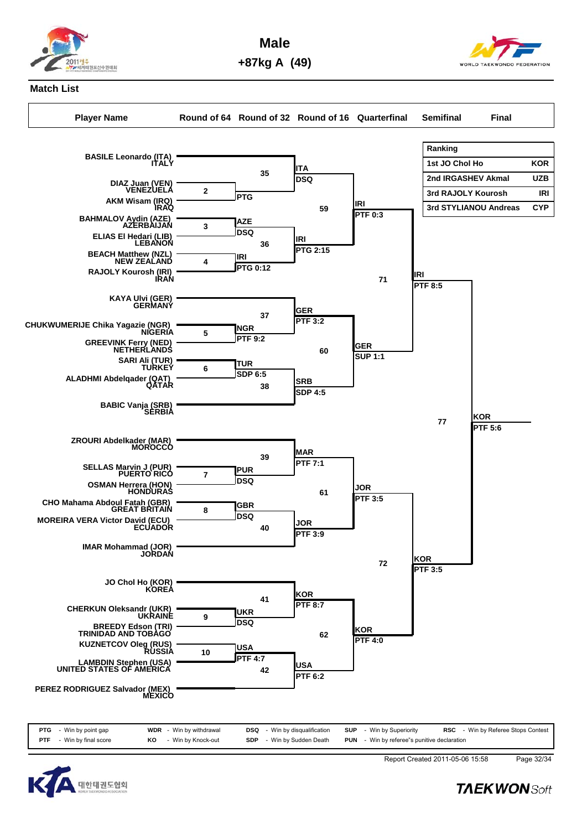![](_page_55_Picture_0.jpeg)

**Male +87kg A (49)**

![](_page_55_Picture_2.jpeg)

**Match List**

**Player Name Round of 64 Round of 32 Round of 16 Quarterfinal Semifinal Final**

**Ranking** 1st JO Chol Ho **KOR 2nd IRGASHEV Akmal UZB**

![](_page_55_Figure_8.jpeg)

![](_page_55_Figure_9.jpeg)

![](_page_55_Figure_10.jpeg)

**PTF** - Win by final score **KO** - Win by Knock-out **SDP** - Win by Sudden Death **PUN** - Win by referee"s punitive declaration

![](_page_55_Picture_11.jpeg)

Report Created 2011-05-06 15:58 Page 32/34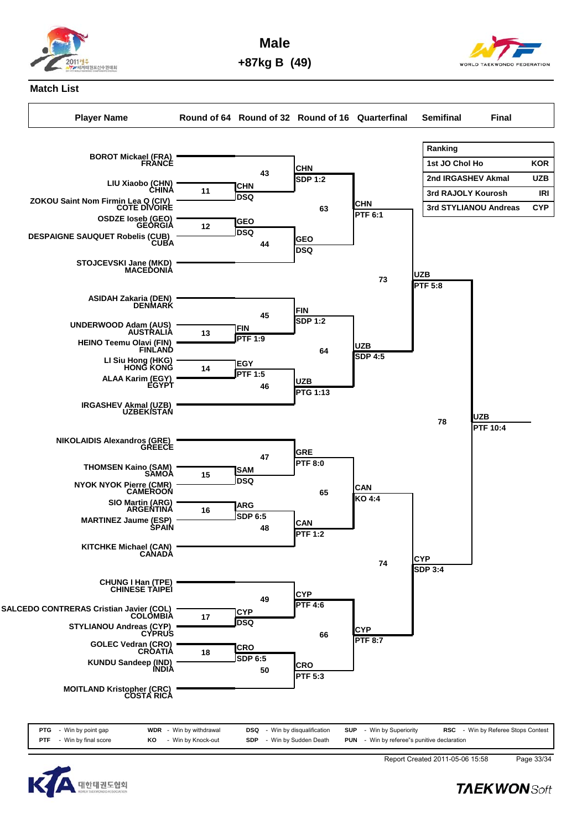![](_page_56_Picture_0.jpeg)

**Male +87kg B (49)**

![](_page_56_Picture_2.jpeg)

## **Match List**

**Player Name Round of 64 Round of 32 Round of 16 Quarterfinal Semifinal Final**

**Ranking** 1st JO Chol Ho **KOR 2nd IRGASHEV Akmal UZB 3rd STYLIANOU Andreas CYP**

![](_page_56_Figure_8.jpeg)

![](_page_56_Picture_9.jpeg)

![](_page_56_Picture_10.jpeg)

Report Created 2011-05-06 15:58 Page 33/34